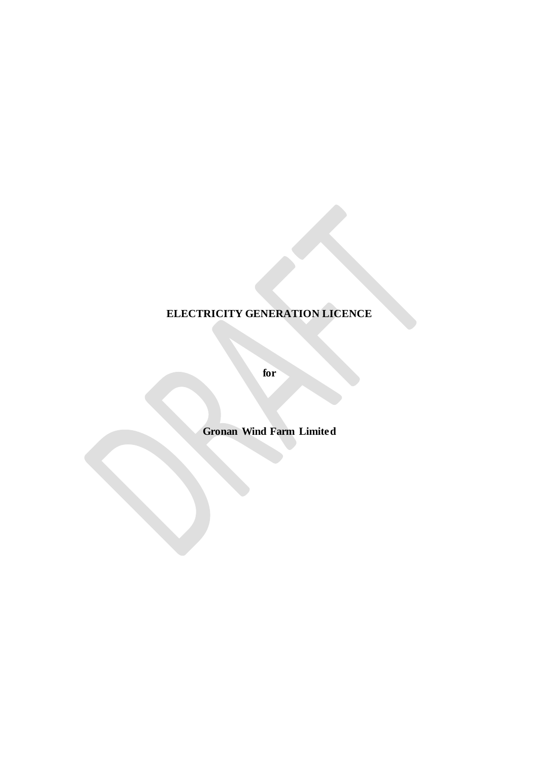# **ELECTRICITY GENERATION LICENCE**

**for** 

**Gronan Wind Farm Limited**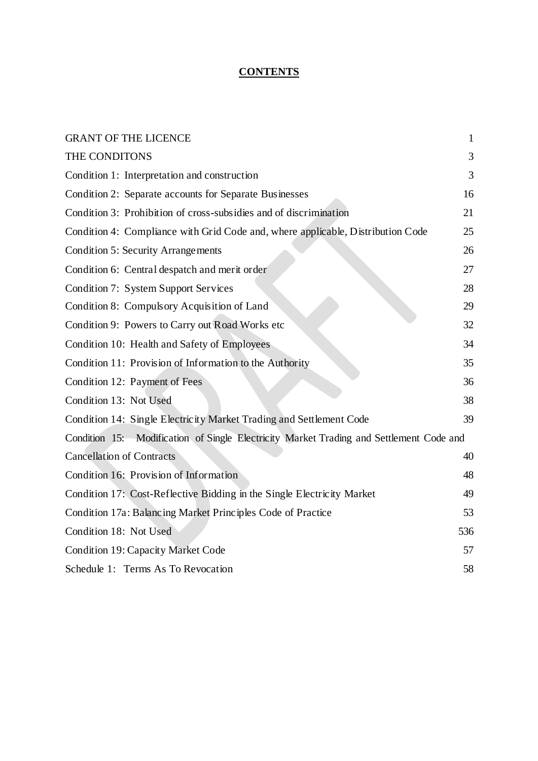## **CONTENTS**

| <b>GRANT OF THE LICENCE</b>                                                             | $\mathbf{1}$ |
|-----------------------------------------------------------------------------------------|--------------|
| THE CONDITONS                                                                           | 3            |
| Condition 1: Interpretation and construction                                            | 3            |
| Condition 2: Separate accounts for Separate Businesses                                  | 16           |
| Condition 3: Prohibition of cross-subsidies and of discrimination                       | 21           |
| Condition 4: Compliance with Grid Code and, where applicable, Distribution Code         | 25           |
| <b>Condition 5: Security Arrangements</b>                                               | 26           |
| Condition 6: Central despatch and merit order                                           | 27           |
| <b>Condition 7: System Support Services</b>                                             | 28           |
| Condition 8: Compulsory Acquisition of Land                                             | 29           |
| Condition 9: Powers to Carry out Road Works etc                                         | 32           |
| Condition 10: Health and Safety of Employees                                            | 34           |
| Condition 11: Provision of Information to the Authority                                 | 35           |
| Condition 12: Payment of Fees                                                           | 36           |
| Condition 13: Not Used                                                                  | 38           |
| Condition 14: Single Electricity Market Trading and Settlement Code                     | 39           |
| Condition 15: Modification of Single Electricity Market Trading and Settlement Code and |              |
| <b>Cancellation of Contracts</b>                                                        | 40           |
| Condition 16: Provision of Information                                                  | 48           |
| Condition 17: Cost-Reflective Bidding in the Single Electricity Market                  | 49           |
| Condition 17a: Balancing Market Principles Code of Practice                             | 53           |
| Condition 18: Not Used                                                                  | 536          |
| <b>Condition 19: Capacity Market Code</b>                                               | 57           |
| Schedule 1: Terms As To Revocation                                                      | 58           |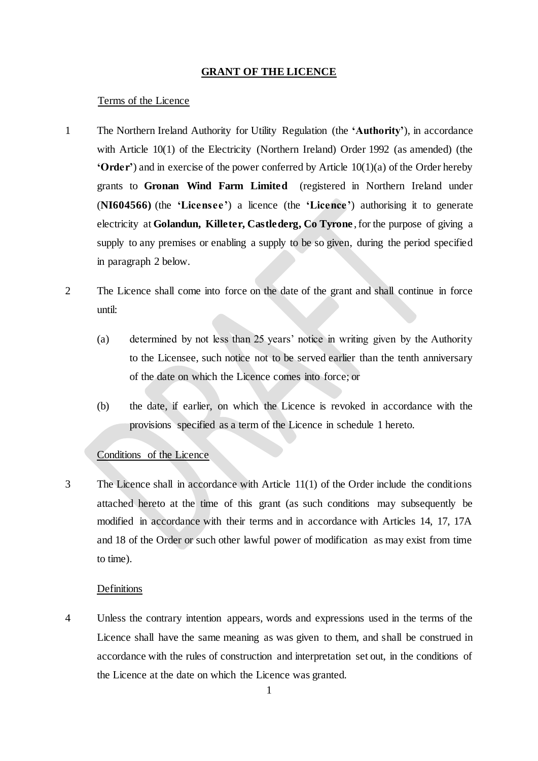#### **GRANT OF THE LICENCE**

#### <span id="page-2-0"></span>Terms of the Licence

- 1 The Northern Ireland Authority for Utility Regulation (the **'Authority'**), in accordance with Article 10(1) of the Electricity (Northern Ireland) Order 1992 (as amended) (the **'Order'**) and in exercise of the power conferred by Article 10(1)(a) of the Order hereby grants to **Gronan Wind Farm Limited** (registered in Northern Ireland under (**NI604566)** (the **'Licensee '**) a licence (the **'Licence '**) authorising it to generate electricity at **Golandun, Killeter, Castlederg, Co Tyrone** ,for the purpose of giving a supply to any premises or enabling a supply to be so given, during the period specified in paragraph 2 below.
- 2 The Licence shall come into force on the date of the grant and shall continue in force until:
	- (a) determined by not less than 25 years' notice in writing given by the Authority to the Licensee, such notice not to be served earlier than the tenth anniversary of the date on which the Licence comes into force; or
	- (b) the date, if earlier, on which the Licence is revoked in accordance with the provisions specified as a term of the Licence in schedule 1 hereto.

#### Conditions of the Licence

3 The Licence shall in accordance with Article 11(1) of the Order include the conditions attached hereto at the time of this grant (as such conditions may subsequently be modified in accordance with their terms and in accordance with Articles 14, 17, 17A and 18 of the Order or such other lawful power of modification as may exist from time to time).

#### Definitions

4 Unless the contrary intention appears, words and expressions used in the terms of the Licence shall have the same meaning as was given to them, and shall be construed in accordance with the rules of construction and interpretation set out, in the conditions of the Licence at the date on which the Licence was granted.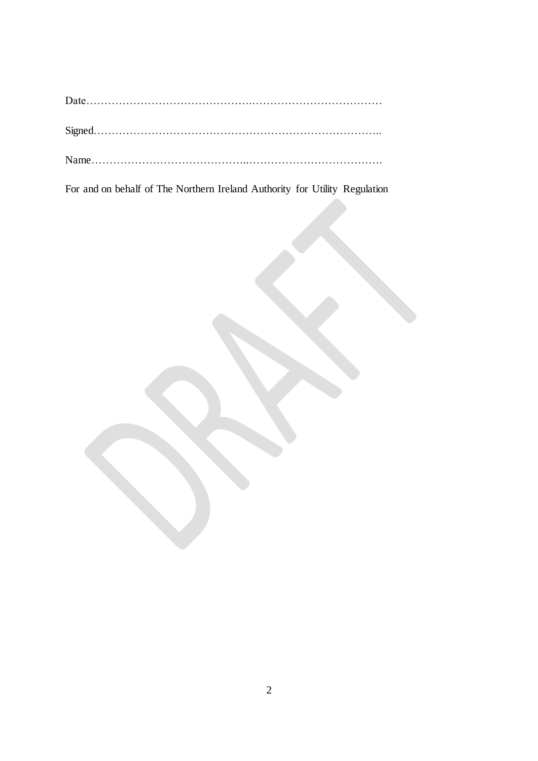For and on behalf of The Northern Ireland Authority for Utility Regulation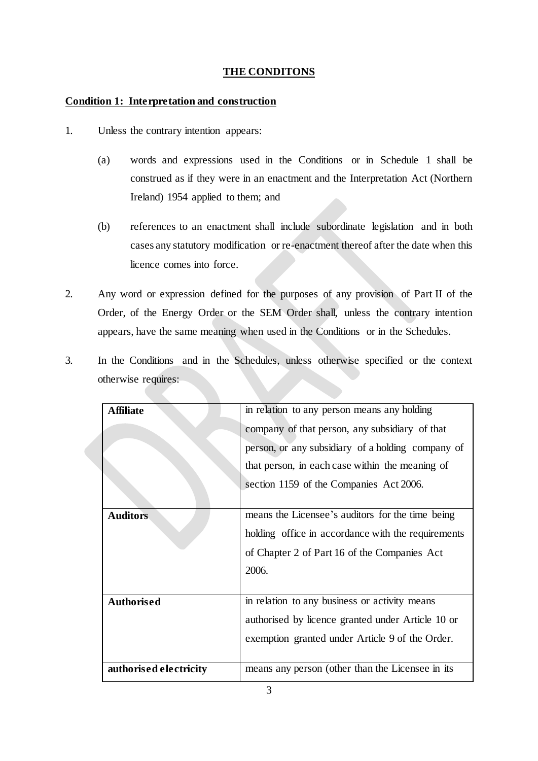## **THE CONDITONS**

## <span id="page-4-1"></span><span id="page-4-0"></span>**Condition 1: Interpretation and construction**

- 1. Unless the contrary intention appears:
	- (a) words and expressions used in the Conditions or in Schedule 1 shall be construed as if they were in an enactment and the Interpretation Act (Northern Ireland) 1954 applied to them; and
	- (b) references to an enactment shall include subordinate legislation and in both cases any statutory modification or re-enactment thereof after the date when this licence comes into force.
- 2. Any word or expression defined for the purposes of any provision of Part II of the Order, of the Energy Order or the SEM Order shall, unless the contrary intention appears, have the same meaning when used in the Conditions or in the Schedules.
- 3. In the Conditions and in the Schedules, unless otherwise specified or the context otherwise requires:

| Affiliate              | in relation to any person means any holding        |
|------------------------|----------------------------------------------------|
|                        | company of that person, any subsidiary of that     |
|                        | person, or any subsidiary of a holding company of  |
|                        | that person, in each case within the meaning of    |
|                        | section 1159 of the Companies Act 2006.            |
|                        |                                                    |
| <b>Auditors</b>        | means the Licensee's auditors for the time being   |
|                        | holding office in accordance with the requirements |
|                        | of Chapter 2 of Part 16 of the Companies Act       |
|                        | 2006.                                              |
|                        |                                                    |
| Authorised             | in relation to any business or activity means      |
|                        | authorised by licence granted under Article 10 or  |
|                        | exemption granted under Article 9 of the Order.    |
|                        |                                                    |
| authorised electricity | means any person (other than the Licensee in its   |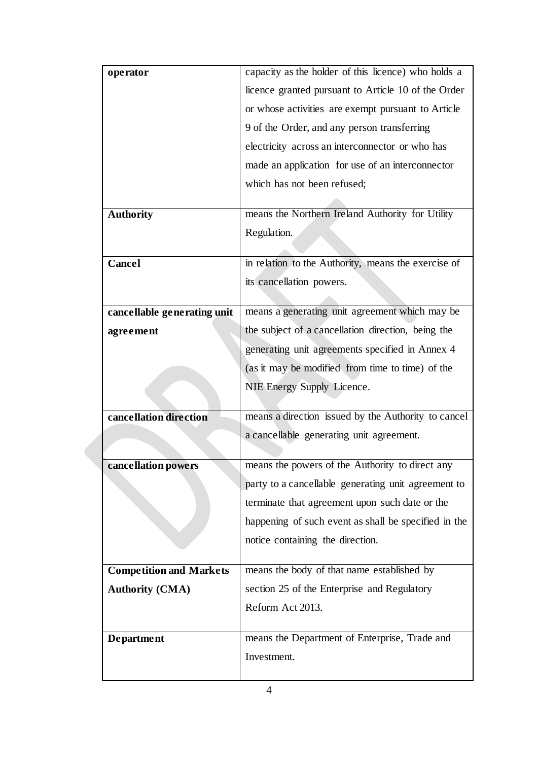| operator                       | capacity as the holder of this licence) who holds a  |
|--------------------------------|------------------------------------------------------|
|                                | licence granted pursuant to Article 10 of the Order  |
|                                | or whose activities are exempt pursuant to Article   |
|                                | 9 of the Order, and any person transferring          |
|                                | electricity across an interconnector or who has      |
|                                | made an application for use of an interconnector     |
|                                | which has not been refused;                          |
|                                |                                                      |
| <b>Authority</b>               | means the Northern Ireland Authority for Utility     |
|                                | Regulation.                                          |
|                                |                                                      |
| Cancel                         | in relation to the Authority, means the exercise of  |
|                                | its cancellation powers.                             |
| cancellable generating unit    | means a generating unit agreement which may be       |
|                                |                                                      |
| agreement                      | the subject of a cancellation direction, being the   |
|                                | generating unit agreements specified in Annex 4      |
|                                | (as it may be modified from time to time) of the     |
|                                | NIE Energy Supply Licence.                           |
| cancellation direction         |                                                      |
|                                | means a direction issued by the Authority to cancel  |
|                                | a cancellable generating unit agreement.             |
| cancellation powers            | means the powers of the Authority to direct any      |
|                                | party to a cancellable generating unit agreement to  |
|                                | terminate that agreement upon such date or the       |
|                                | happening of such event as shall be specified in the |
|                                | notice containing the direction.                     |
|                                |                                                      |
| <b>Competition and Markets</b> | means the body of that name established by           |
| <b>Authority (CMA)</b>         | section 25 of the Enterprise and Regulatory          |
|                                | Reform Act 2013.                                     |
|                                |                                                      |
| <b>Department</b>              | means the Department of Enterprise, Trade and        |
|                                | Investment.                                          |
|                                |                                                      |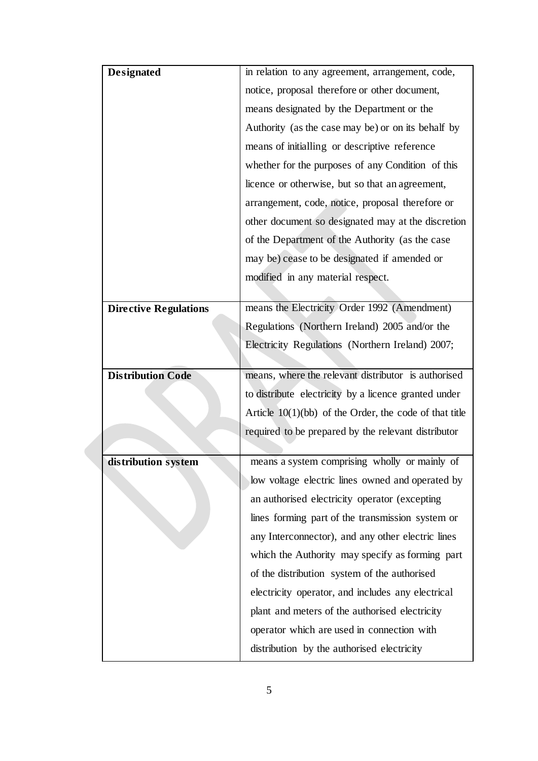| <b>Designated</b>            | in relation to any agreement, arrangement, code,         |
|------------------------------|----------------------------------------------------------|
|                              | notice, proposal therefore or other document,            |
|                              | means designated by the Department or the                |
|                              | Authority (as the case may be) or on its behalf by       |
|                              | means of initialling or descriptive reference            |
|                              | whether for the purposes of any Condition of this        |
|                              | licence or otherwise, but so that an agreement,          |
|                              | arrangement, code, notice, proposal therefore or         |
|                              | other document so designated may at the discretion       |
|                              | of the Department of the Authority (as the case          |
|                              | may be) cease to be designated if amended or             |
|                              | modified in any material respect.                        |
|                              |                                                          |
| <b>Directive Regulations</b> | means the Electricity Order 1992 (Amendment)             |
|                              | Regulations (Northern Ireland) 2005 and/or the           |
|                              | Electricity Regulations (Northern Ireland) 2007;         |
|                              |                                                          |
| <b>Distribution Code</b>     | means, where the relevant distributor is authorised      |
|                              | to distribute electricity by a licence granted under     |
|                              | Article $10(1)(bb)$ of the Order, the code of that title |
|                              | required to be prepared by the relevant distributor      |
|                              | means a system comprising wholly or mainly of            |
| distribution system          |                                                          |
|                              | low voltage electric lines owned and operated by         |
|                              | an authorised electricity operator (excepting            |
|                              |                                                          |
|                              | lines forming part of the transmission system or         |
|                              | any Interconnector), and any other electric lines        |
|                              | which the Authority may specify as forming part          |
|                              | of the distribution system of the authorised             |
|                              | electricity operator, and includes any electrical        |
|                              | plant and meters of the authorised electricity           |
|                              | operator which are used in connection with               |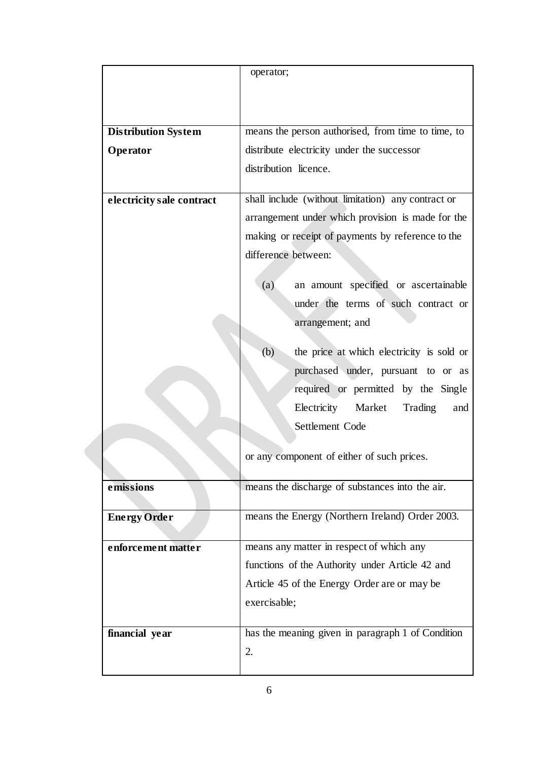|                            | operator;                                          |
|----------------------------|----------------------------------------------------|
|                            |                                                    |
|                            |                                                    |
|                            |                                                    |
| <b>Distribution System</b> | means the person authorised, from time to time, to |
| Operator                   | distribute electricity under the successor         |
|                            | distribution licence.                              |
|                            |                                                    |
| electricity sale contract  | shall include (without limitation) any contract or |
|                            | arrangement under which provision is made for the  |
|                            | making or receipt of payments by reference to the  |
|                            | difference between:                                |
|                            | (a)<br>an amount specified or ascertainable        |
|                            | under the terms of such contract or                |
|                            | arrangement; and                                   |
|                            |                                                    |
|                            | (b)<br>the price at which electricity is sold or   |
|                            | purchased under, pursuant to or as                 |
|                            | required or permitted by the Single                |
|                            | Electricity<br>Market<br>Trading<br>and            |
|                            | Settlement Code                                    |
|                            |                                                    |
|                            | or any component of either of such prices.         |
|                            |                                                    |
| emissions                  | means the discharge of substances into the air.    |
| <b>Energy Order</b>        | means the Energy (Northern Ireland) Order 2003.    |
|                            |                                                    |
| enforcement matter         | means any matter in respect of which any           |
|                            | functions of the Authority under Article 42 and    |
|                            | Article 45 of the Energy Order are or may be       |
|                            | exercisable;                                       |
|                            |                                                    |
| financial year             | has the meaning given in paragraph 1 of Condition  |
|                            | 2.                                                 |
|                            |                                                    |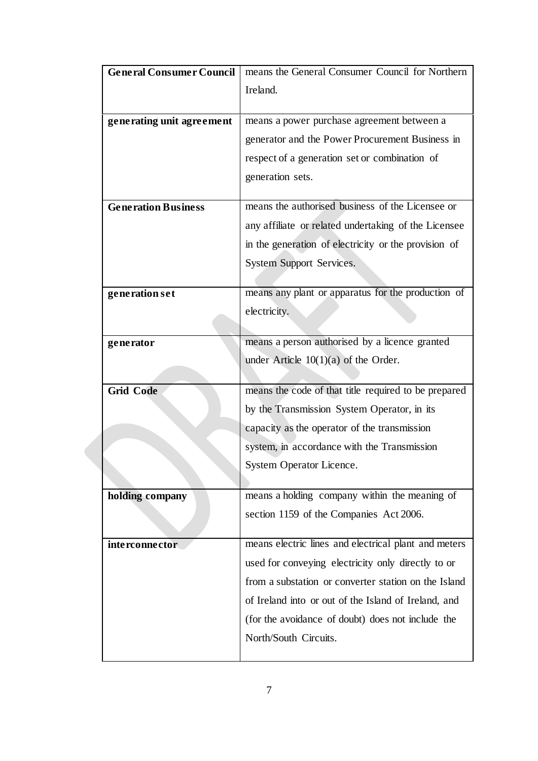| <b>General Consumer Council</b> | means the General Consumer Council for Northern      |
|---------------------------------|------------------------------------------------------|
|                                 | Ireland.                                             |
|                                 |                                                      |
| generating unit agreement       | means a power purchase agreement between a           |
|                                 | generator and the Power Procurement Business in      |
|                                 | respect of a generation set or combination of        |
|                                 | generation sets.                                     |
|                                 |                                                      |
| <b>Generation Business</b>      | means the authorised business of the Licensee or     |
|                                 | any affiliate or related undertaking of the Licensee |
|                                 | in the generation of electricity or the provision of |
|                                 | <b>System Support Services.</b>                      |
|                                 |                                                      |
| generation set                  | means any plant or apparatus for the production of   |
|                                 | electricity.                                         |
|                                 |                                                      |
| generator                       | means a person authorised by a licence granted       |
|                                 | under Article $10(1)(a)$ of the Order.               |
| <b>Grid Code</b>                | means the code of that title required to be prepared |
|                                 |                                                      |
|                                 | by the Transmission System Operator, in its          |
|                                 | capacity as the operator of the transmission         |
|                                 | system, in accordance with the Transmission          |
|                                 | System Operator Licence.                             |
|                                 | means a holding company within the meaning of        |
| holding company                 |                                                      |
|                                 | section 1159 of the Companies Act 2006.              |
| <i>interconnector</i>           | means electric lines and electrical plant and meters |
|                                 | used for conveying electricity only directly to or   |
|                                 | from a substation or converter station on the Island |
|                                 | of Ireland into or out of the Island of Ireland, and |
|                                 |                                                      |
|                                 | (for the avoidance of doubt) does not include the    |
|                                 |                                                      |
|                                 | North/South Circuits.                                |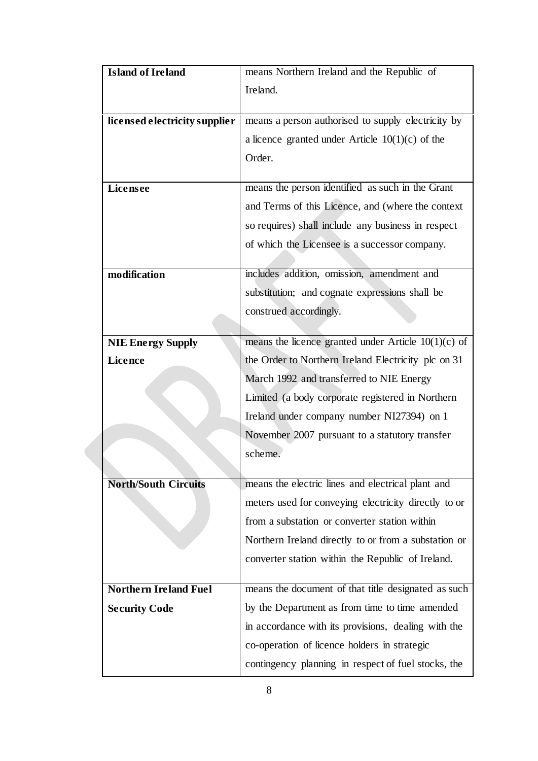| <b>Island of Ireland</b>      | means Northern Ireland and the Republic of            |
|-------------------------------|-------------------------------------------------------|
|                               | Ireland.                                              |
|                               |                                                       |
| licensed electricity supplier | means a person authorised to supply electricity by    |
|                               | a licence granted under Article $10(1)(c)$ of the     |
|                               | Order.                                                |
|                               |                                                       |
| <b>Licensee</b>               | means the person identified as such in the Grant      |
|                               | and Terms of this Licence, and (where the context     |
|                               | so requires) shall include any business in respect    |
|                               | of which the Licensee is a successor company.         |
|                               |                                                       |
| modification                  | includes addition, omission, amendment and            |
|                               | substitution; and cognate expressions shall be        |
|                               | construed accordingly.                                |
|                               |                                                       |
| <b>NIE Energy Supply</b>      | means the licence granted under Article $10(1)(c)$ of |
| <b>Licence</b>                | the Order to Northern Ireland Electricity plc on 31   |
|                               | March 1992 and transferred to NIE Energy              |
|                               | Limited (a body corporate registered in Northern      |
|                               | Ireland under company number NI27394) on 1            |
|                               | November 2007 pursuant to a statutory transfer        |
|                               | scheme.                                               |
|                               |                                                       |
| <b>North/South Circuits</b>   | means the electric lines and electrical plant and     |
|                               | meters used for conveying electricity directly to or  |
|                               | from a substation or converter station within         |
|                               | Northern Ireland directly to or from a substation or  |
|                               | converter station within the Republic of Ireland.     |
|                               |                                                       |
| <b>Northern Ireland Fuel</b>  | means the document of that title designated as such   |
| <b>Security Code</b>          | by the Department as from time to time amended        |
|                               | in accordance with its provisions, dealing with the   |
|                               | co-operation of licence holders in strategic          |
|                               | contingency planning in respect of fuel stocks, the   |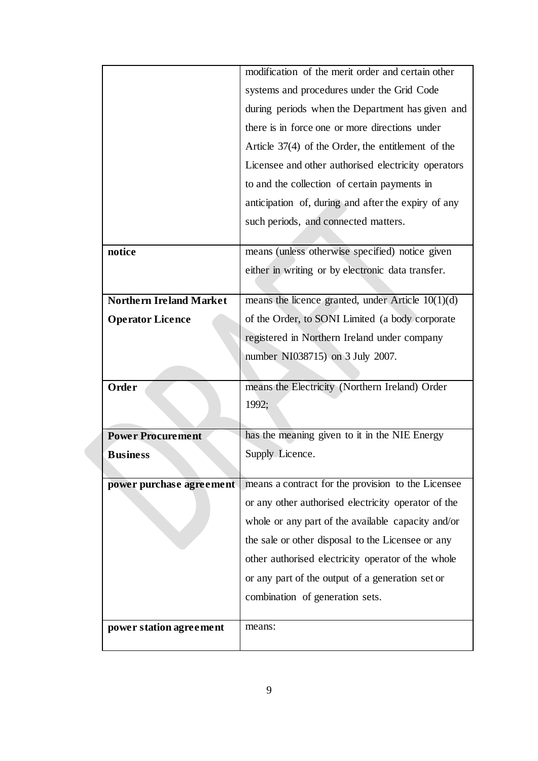|                                | modification of the merit order and certain other    |
|--------------------------------|------------------------------------------------------|
|                                | systems and procedures under the Grid Code           |
|                                | during periods when the Department has given and     |
|                                | there is in force one or more directions under       |
|                                | Article $37(4)$ of the Order, the entitlement of the |
|                                | Licensee and other authorised electricity operators  |
|                                | to and the collection of certain payments in         |
|                                | anticipation of, during and after the expiry of any  |
|                                | such periods, and connected matters.                 |
|                                |                                                      |
| notice                         | means (unless otherwise specified) notice given      |
|                                | either in writing or by electronic data transfer.    |
|                                |                                                      |
| <b>Northern Ireland Market</b> | means the licence granted, under Article $10(1)(d)$  |
| <b>Operator Licence</b>        | of the Order, to SONI Limited (a body corporate      |
|                                | registered in Northern Ireland under company         |
|                                | number NI038715) on 3 July 2007.                     |
|                                |                                                      |
| Order                          | means the Electricity (Northern Ireland) Order       |
|                                | 1992;                                                |
|                                |                                                      |
| <b>Power Procurement</b>       | has the meaning given to it in the NIE Energy        |
| <b>Business</b>                | Supply Licence.                                      |
|                                |                                                      |
| power purchase agreement       | means a contract for the provision to the Licensee   |
|                                | or any other authorised electricity operator of the  |
|                                | whole or any part of the available capacity and/or   |
|                                | the sale or other disposal to the Licensee or any    |
|                                | other authorised electricity operator of the whole   |
|                                | or any part of the output of a generation set or     |
|                                | combination of generation sets.                      |
|                                |                                                      |
| power station agreement        | means:                                               |
|                                |                                                      |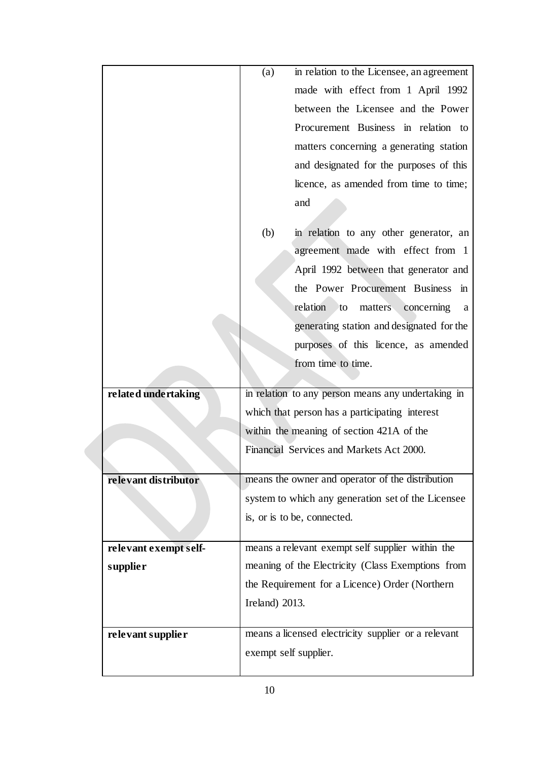|                       | (a)            | in relation to the Licensee, an agreement                                    |
|-----------------------|----------------|------------------------------------------------------------------------------|
|                       |                | made with effect from 1 April 1992                                           |
|                       |                | between the Licensee and the Power                                           |
|                       |                | Procurement Business in relation to                                          |
|                       |                | matters concerning a generating station                                      |
|                       |                | and designated for the purposes of this                                      |
|                       |                | licence, as amended from time to time;                                       |
|                       |                | and                                                                          |
|                       |                |                                                                              |
|                       | (b)            | in relation to any other generator, an                                       |
|                       |                | agreement made with effect from 1                                            |
|                       |                | April 1992 between that generator and                                        |
|                       |                | the Power Procurement Business in                                            |
|                       |                | relation to<br>matters<br>concerning<br>a                                    |
|                       |                | generating station and designated for the                                    |
|                       |                | purposes of this licence, as amended                                         |
|                       |                | from time to time.                                                           |
|                       |                |                                                                              |
| related undertaking   |                | in relation to any person means any undertaking in                           |
|                       |                | which that person has a participating interest                               |
|                       |                | within the meaning of section 421A of the                                    |
|                       |                | Financial Services and Markets Act 2000.                                     |
|                       |                |                                                                              |
| relevant distributor  |                | means the owner and operator of the distribution                             |
|                       |                | system to which any generation set of the Licensee                           |
|                       |                | is, or is to be, connected.                                                  |
| relevant exempt self- |                | means a relevant exempt self supplier within the                             |
| <i>supplier</i>       |                | meaning of the Electricity (Class Exemptions from                            |
|                       |                | the Requirement for a Licence) Order (Northern                               |
|                       | Ireland) 2013. |                                                                              |
|                       |                |                                                                              |
| relevant supplier     |                | means a licensed electricity supplier or a relevant<br>exempt self supplier. |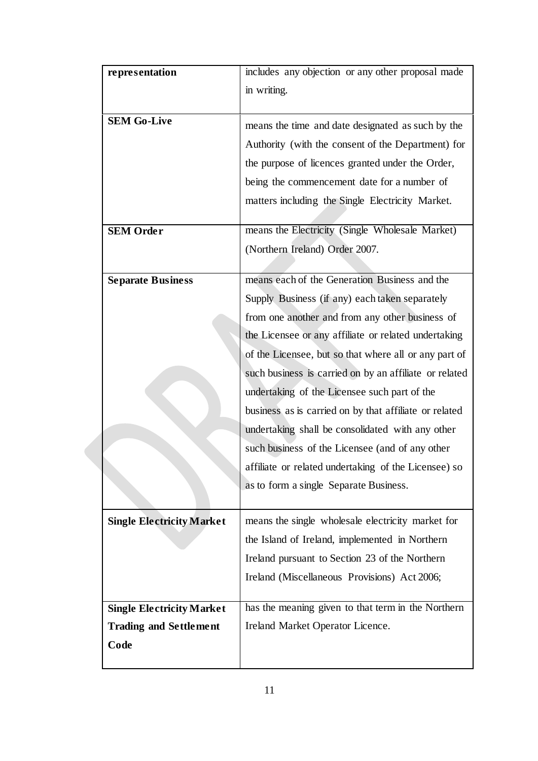| representation                   | includes any objection or any other proposal made      |
|----------------------------------|--------------------------------------------------------|
|                                  | in writing.                                            |
|                                  |                                                        |
| <b>SEM Go-Live</b>               | means the time and date designated as such by the      |
|                                  | Authority (with the consent of the Department) for     |
|                                  | the purpose of licences granted under the Order,       |
|                                  | being the commencement date for a number of            |
|                                  | matters including the Single Electricity Market.       |
|                                  |                                                        |
| <b>SEM Order</b>                 | means the Electricity (Single Wholesale Market)        |
|                                  | (Northern Ireland) Order 2007.                         |
|                                  |                                                        |
| <b>Separate Business</b>         | means each of the Generation Business and the          |
|                                  | Supply Business (if any) each taken separately         |
|                                  | from one another and from any other business of        |
|                                  | the Licensee or any affiliate or related undertaking   |
|                                  | of the Licensee, but so that where all or any part of  |
|                                  | such business is carried on by an affiliate or related |
|                                  | undertaking of the Licensee such part of the           |
|                                  | business as is carried on by that affiliate or related |
|                                  | undertaking shall be consolidated with any other       |
|                                  | such business of the Licensee (and of any other        |
|                                  | affiliate or related undertaking of the Licensee) so   |
|                                  | as to form a single Separate Business.                 |
|                                  |                                                        |
| <b>Single Electricity Market</b> | means the single wholesale electricity market for      |
|                                  | the Island of Ireland, implemented in Northern         |
|                                  | Ireland pursuant to Section 23 of the Northern         |
|                                  | Ireland (Miscellaneous Provisions) Act 2006;           |
|                                  |                                                        |
| <b>Single Electricity Market</b> | has the meaning given to that term in the Northern     |
| <b>Trading and Settlement</b>    | Ireland Market Operator Licence.                       |
| Code                             |                                                        |
|                                  |                                                        |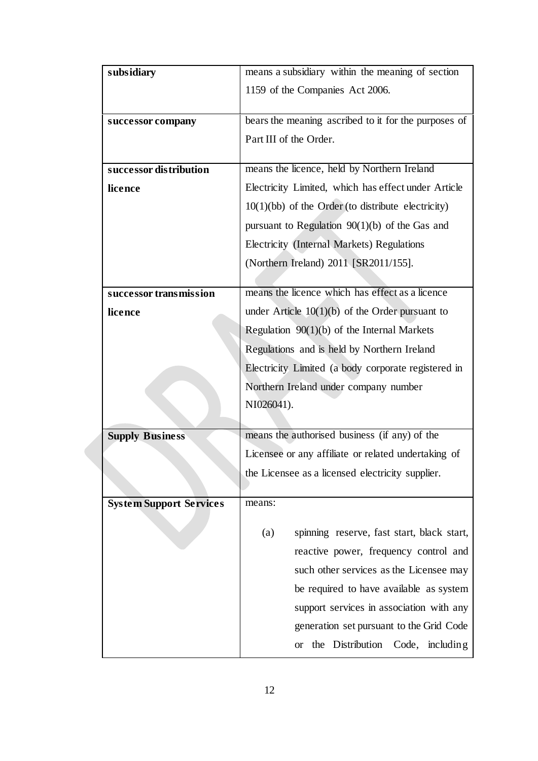| subsidiary                     | means a subsidiary within the meaning of section     |  |  |  |
|--------------------------------|------------------------------------------------------|--|--|--|
|                                | 1159 of the Companies Act 2006.                      |  |  |  |
|                                |                                                      |  |  |  |
| successor company              | bears the meaning ascribed to it for the purposes of |  |  |  |
|                                | Part III of the Order.                               |  |  |  |
|                                |                                                      |  |  |  |
| successor distribution         | means the licence, held by Northern Ireland          |  |  |  |
| licence                        | Electricity Limited, which has effect under Article  |  |  |  |
|                                | $10(1)(bb)$ of the Order (to distribute electricity) |  |  |  |
|                                | pursuant to Regulation $90(1)(b)$ of the Gas and     |  |  |  |
|                                | Electricity (Internal Markets) Regulations           |  |  |  |
|                                | (Northern Ireland) 2011 [SR2011/155].                |  |  |  |
|                                |                                                      |  |  |  |
| successor transmission         | means the licence which has effect as a licence      |  |  |  |
| licence                        | under Article $10(1)(b)$ of the Order pursuant to    |  |  |  |
|                                | Regulation $90(1)(b)$ of the Internal Markets        |  |  |  |
|                                | Regulations and is held by Northern Ireland          |  |  |  |
|                                | Electricity Limited (a body corporate registered in  |  |  |  |
|                                | Northern Ireland under company number                |  |  |  |
|                                | NI026041).                                           |  |  |  |
|                                |                                                      |  |  |  |
| <b>Supply Business</b>         | means the authorised business (if any) of the        |  |  |  |
|                                | Licensee or any affiliate or related undertaking of  |  |  |  |
|                                | the Licensee as a licensed electricity supplier.     |  |  |  |
|                                |                                                      |  |  |  |
| <b>System Support Services</b> | means:                                               |  |  |  |
|                                | spinning reserve, fast start, black start,<br>(a)    |  |  |  |
|                                | reactive power, frequency control and                |  |  |  |
|                                |                                                      |  |  |  |
|                                | such other services as the Licensee may              |  |  |  |
|                                | be required to have available as system              |  |  |  |
|                                | support services in association with any             |  |  |  |
|                                | generation set pursuant to the Grid Code             |  |  |  |
|                                | the Distribution<br>Code, including<br><b>or</b>     |  |  |  |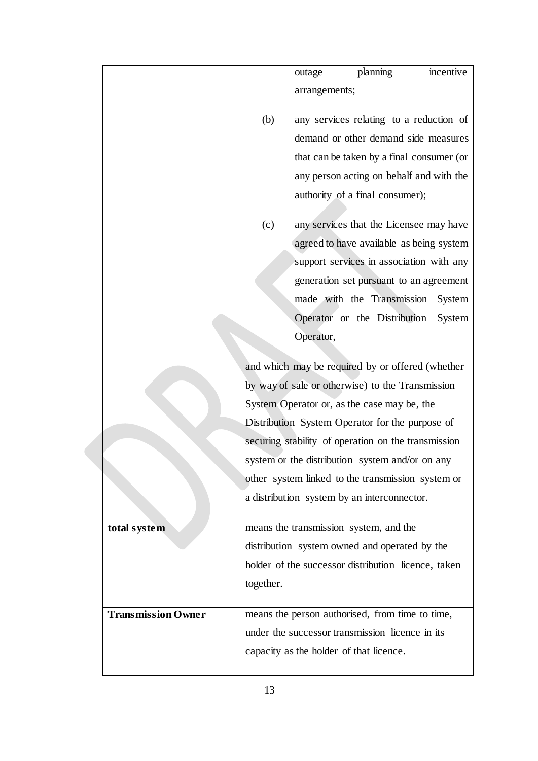|                           |           | outage                                  | planning                                            | incentive |
|---------------------------|-----------|-----------------------------------------|-----------------------------------------------------|-----------|
|                           |           | arrangements;                           |                                                     |           |
|                           |           |                                         |                                                     |           |
|                           | (b)       |                                         | any services relating to a reduction of             |           |
|                           |           |                                         | demand or other demand side measures                |           |
|                           |           |                                         | that can be taken by a final consumer (or           |           |
|                           |           |                                         | any person acting on behalf and with the            |           |
|                           |           |                                         | authority of a final consumer);                     |           |
|                           | (c)       |                                         | any services that the Licensee may have             |           |
|                           |           |                                         | agreed to have available as being system            |           |
|                           |           |                                         | support services in association with any            |           |
|                           |           |                                         | generation set pursuant to an agreement             |           |
|                           |           |                                         | made with the Transmission                          | System    |
|                           |           |                                         | Operator or the Distribution                        | System    |
|                           |           | Operator,                               |                                                     |           |
|                           |           |                                         | and which may be required by or offered (whether    |           |
|                           |           |                                         | by way of sale or otherwise) to the Transmission    |           |
|                           |           |                                         | System Operator or, as the case may be, the         |           |
|                           |           |                                         | Distribution System Operator for the purpose of     |           |
|                           |           |                                         | securing stability of operation on the transmission |           |
|                           |           |                                         | system or the distribution system and/or on any     |           |
|                           |           |                                         | other system linked to the transmission system or   |           |
|                           |           |                                         | a distribution system by an interconnector.         |           |
|                           |           |                                         | means the transmission system, and the              |           |
| total system              |           |                                         |                                                     |           |
|                           |           |                                         | distribution system owned and operated by the       |           |
|                           |           |                                         | holder of the successor distribution licence, taken |           |
|                           | together. |                                         |                                                     |           |
| <b>Transmission Owner</b> |           |                                         | means the person authorised, from time to time,     |           |
|                           |           |                                         | under the successor transmission licence in its     |           |
|                           |           | capacity as the holder of that licence. |                                                     |           |
|                           |           |                                         |                                                     |           |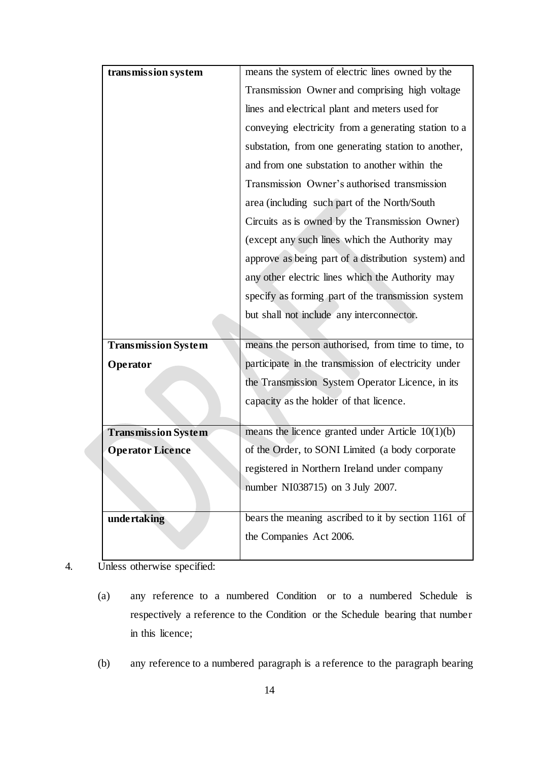| transmission system        | means the system of electric lines owned by the      |  |
|----------------------------|------------------------------------------------------|--|
|                            | Transmission Owner and comprising high voltage       |  |
|                            | lines and electrical plant and meters used for       |  |
|                            | conveying electricity from a generating station to a |  |
|                            | substation, from one generating station to another,  |  |
|                            | and from one substation to another within the        |  |
|                            | Transmission Owner's authorised transmission         |  |
|                            | area (including such part of the North/South         |  |
|                            | Circuits as is owned by the Transmission Owner)      |  |
|                            | (except any such lines which the Authority may       |  |
|                            | approve as being part of a distribution system) and  |  |
|                            | any other electric lines which the Authority may     |  |
|                            | specify as forming part of the transmission system   |  |
|                            | but shall not include any interconnector.            |  |
|                            |                                                      |  |
|                            |                                                      |  |
| <b>Transmission System</b> | means the person authorised, from time to time, to   |  |
| Operator                   | participate in the transmission of electricity under |  |
|                            | the Transmission System Operator Licence, in its     |  |
|                            | capacity as the holder of that licence.              |  |
|                            |                                                      |  |
| <b>Transmission System</b> | means the licence granted under Article $10(1)(b)$   |  |
| <b>Operator Licence</b>    | of the Order, to SONI Limited (a body corporate      |  |
|                            | registered in Northern Ireland under company         |  |
|                            | number NI038715) on 3 July 2007.                     |  |
|                            |                                                      |  |
| undertaking                | bears the meaning ascribed to it by section 1161 of  |  |
|                            | the Companies Act 2006.                              |  |

- 4. Unless otherwise specified:
	- (a) any reference to a numbered Condition or to a numbered Schedule is respectively a reference to the Condition or the Schedule bearing that number in this licence;
	- (b) any reference to a numbered paragraph is a reference to the paragraph bearing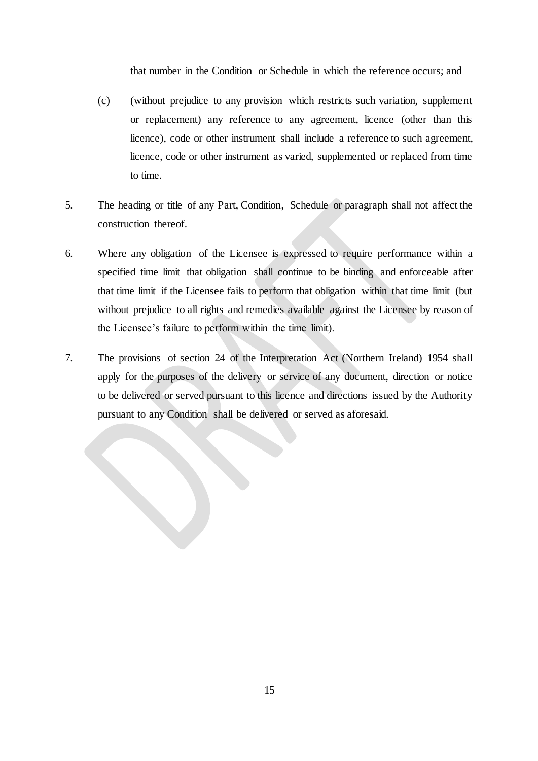that number in the Condition or Schedule in which the reference occurs; and

- (c) (without prejudice to any provision which restricts such variation, supplement or replacement) any reference to any agreement, licence (other than this licence), code or other instrument shall include a reference to such agreement, licence, code or other instrument as varied, supplemented or replaced from time to time.
- 5. The heading or title of any Part, Condition, Schedule or paragraph shall not affect the construction thereof.
- 6. Where any obligation of the Licensee is expressed to require performance within a specified time limit that obligation shall continue to be binding and enforceable after that time limit if the Licensee fails to perform that obligation within that time limit (but without prejudice to all rights and remedies available against the Licensee by reason of the Licensee's failure to perform within the time limit).
- <span id="page-16-0"></span>7. The provisions of section 24 of the Interpretation Act (Northern Ireland) 1954 shall apply for the purposes of the delivery or service of any document, direction or notice to be delivered or served pursuant to this licence and directions issued by the Authority pursuant to any Condition shall be delivered or served as aforesaid.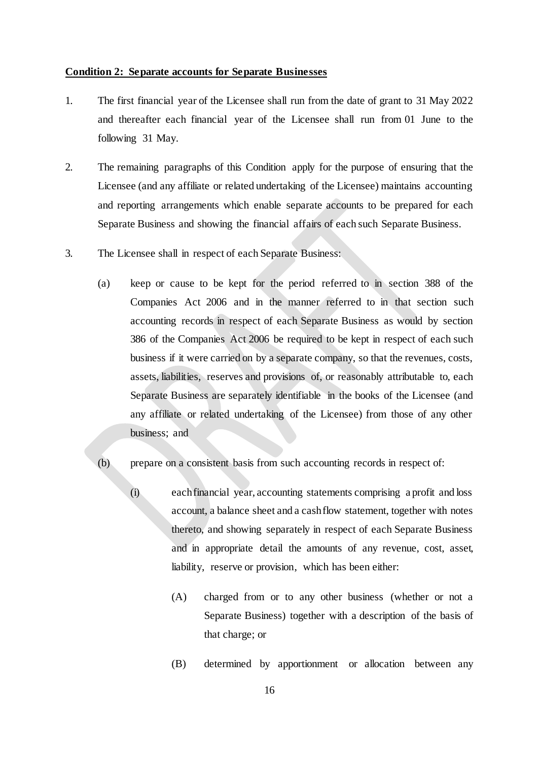#### **Condition 2: Separate accounts for Separate Businesses**

- 1. The first financial year of the Licensee shall run from the date of grant to 31 May 2022 and thereafter each financial year of the Licensee shall run from 01 June to the following 31 May.
- 2. The remaining paragraphs of this Condition apply for the purpose of ensuring that the Licensee (and any affiliate or related undertaking of the Licensee) maintains accounting and reporting arrangements which enable separate accounts to be prepared for each Separate Business and showing the financial affairs of each such Separate Business.
- 3. The Licensee shall in respect of each Separate Business:
	- (a) keep or cause to be kept for the period referred to in section 388 of the Companies Act 2006 and in the manner referred to in that section such accounting records in respect of each Separate Business as would by section 386 of the Companies Act 2006 be required to be kept in respect of each such business if it were carried on by a separate company, so that the revenues, costs, assets, liabilities, reserves and provisions of, or reasonably attributable to, each Separate Business are separately identifiable in the books of the Licensee (and any affiliate or related undertaking of the Licensee) from those of any other business; and

## (b) prepare on a consistent basis from such accounting records in respect of:

- (i) each financial year, accounting statements comprising a profit and loss account, a balance sheet and a cash flow statement, together with notes thereto, and showing separately in respect of each Separate Business and in appropriate detail the amounts of any revenue, cost, asset, liability, reserve or provision, which has been either:
	- (A) charged from or to any other business (whether or not a Separate Business) together with a description of the basis of that charge; or
	- (B) determined by apportionment or allocation between any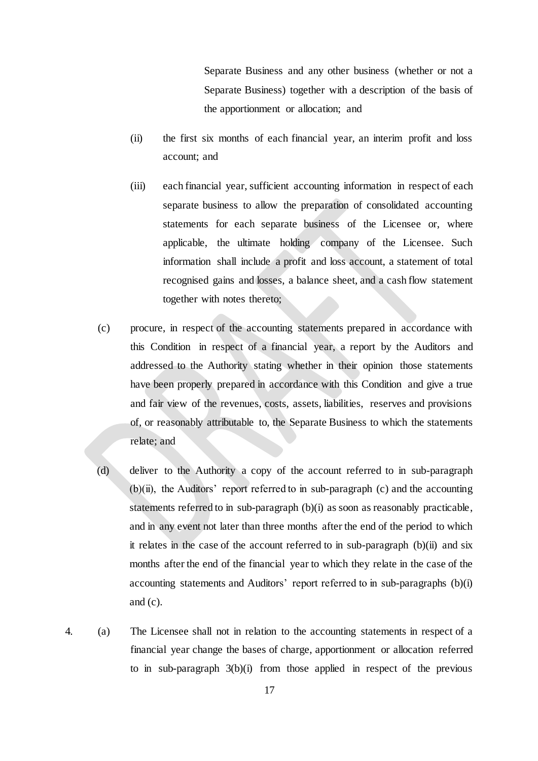Separate Business and any other business (whether or not a Separate Business) together with a description of the basis of the apportionment or allocation; and

- (ii) the first six months of each financial year, an interim profit and loss account; and
- (iii) each financial year, sufficient accounting information in respect of each separate business to allow the preparation of consolidated accounting statements for each separate business of the Licensee or, where applicable, the ultimate holding company of the Licensee. Such information shall include a profit and loss account, a statement of total recognised gains and losses, a balance sheet, and a cash flow statement together with notes thereto;
- (c) procure, in respect of the accounting statements prepared in accordance with this Condition in respect of a financial year, a report by the Auditors and addressed to the Authority stating whether in their opinion those statements have been properly prepared in accordance with this Condition and give a true and fair view of the revenues, costs, assets, liabilities, reserves and provisions of, or reasonably attributable to, the Separate Business to which the statements relate; and
- (d) deliver to the Authority a copy of the account referred to in sub-paragraph  $(b)(ii)$ , the Auditors' report referred to in sub-paragraph  $(c)$  and the accounting statements referred to in sub-paragraph (b)(i) as soon as reasonably practicable, and in any event not later than three months after the end of the period to which it relates in the case of the account referred to in sub-paragraph (b)(ii) and six months after the end of the financial year to which they relate in the case of the accounting statements and Auditors' report referred to in sub-paragraphs (b)(i) and (c).
- 4. (a) The Licensee shall not in relation to the accounting statements in respect of a financial year change the bases of charge, apportionment or allocation referred to in sub-paragraph 3(b)(i) from those applied in respect of the previous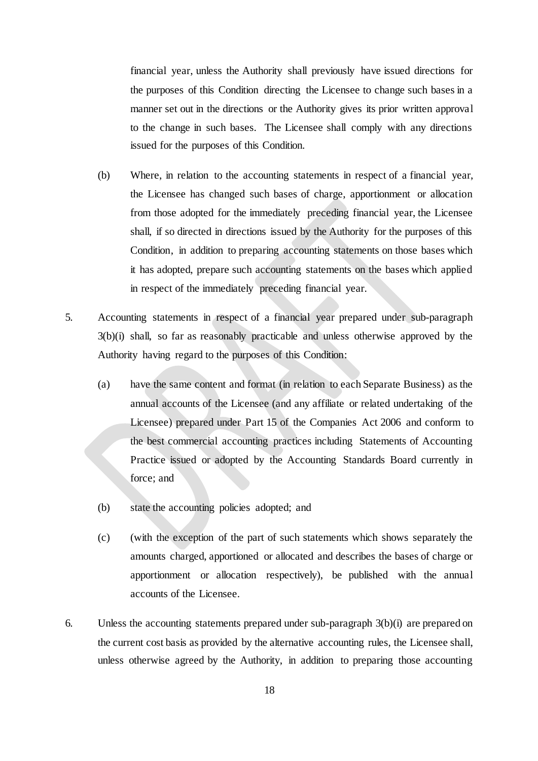financial year, unless the Authority shall previously have issued directions for the purposes of this Condition directing the Licensee to change such bases in a manner set out in the directions or the Authority gives its prior written approval to the change in such bases. The Licensee shall comply with any directions issued for the purposes of this Condition.

- (b) Where, in relation to the accounting statements in respect of a financial year, the Licensee has changed such bases of charge, apportionment or allocation from those adopted for the immediately preceding financial year, the Licensee shall, if so directed in directions issued by the Authority for the purposes of this Condition, in addition to preparing accounting statements on those bases which it has adopted, prepare such accounting statements on the bases which applied in respect of the immediately preceding financial year.
- 5. Accounting statements in respect of a financial year prepared under sub-paragraph 3(b)(i) shall, so far as reasonably practicable and unless otherwise approved by the Authority having regard to the purposes of this Condition:
	- (a) have the same content and format (in relation to each Separate Business) as the annual accounts of the Licensee (and any affiliate or related undertaking of the Licensee) prepared under Part 15 of the Companies Act 2006 and conform to the best commercial accounting practices including Statements of Accounting Practice issued or adopted by the Accounting Standards Board currently in force; and
	- (b) state the accounting policies adopted; and
	- (c) (with the exception of the part of such statements which shows separately the amounts charged, apportioned or allocated and describes the bases of charge or apportionment or allocation respectively), be published with the annual accounts of the Licensee.
- 6. Unless the accounting statements prepared under sub-paragraph 3(b)(i) are prepared on the current cost basis as provided by the alternative accounting rules, the Licensee shall, unless otherwise agreed by the Authority, in addition to preparing those accounting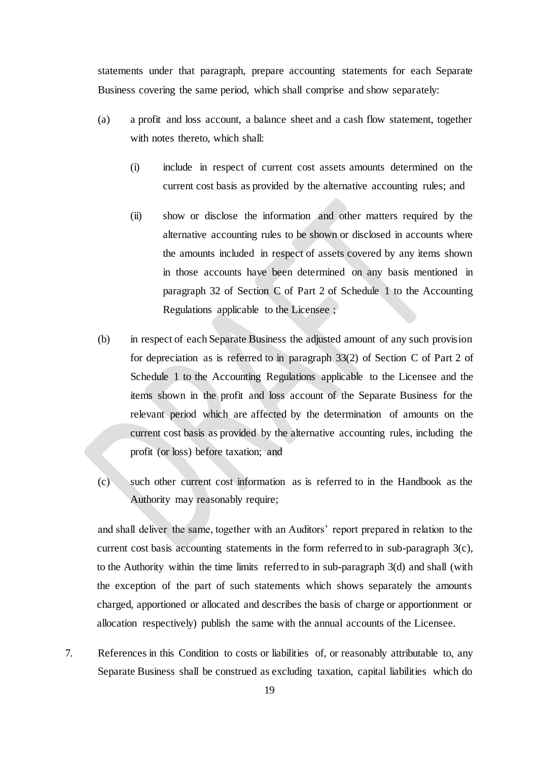statements under that paragraph, prepare accounting statements for each Separate Business covering the same period, which shall comprise and show separately:

- (a) a profit and loss account, a balance sheet and a cash flow statement, together with notes thereto, which shall:
	- (i) include in respect of current cost assets amounts determined on the current cost basis as provided by the alternative accounting rules; and
	- (ii) show or disclose the information and other matters required by the alternative accounting rules to be shown or disclosed in accounts where the amounts included in respect of assets covered by any items shown in those accounts have been determined on any basis mentioned in paragraph 32 of Section C of Part 2 of Schedule 1 to the Accounting Regulations applicable to the Licensee ;
- (b) in respect of each Separate Business the adjusted amount of any such provision for depreciation as is referred to in paragraph 33(2) of Section C of Part 2 of Schedule 1 to the Accounting Regulations applicable to the Licensee and the items shown in the profit and loss account of the Separate Business for the relevant period which are affected by the determination of amounts on the current cost basis as provided by the alternative accounting rules, including the profit (or loss) before taxation; and
- (c) such other current cost information as is referred to in the Handbook as the Authority may reasonably require;

and shall deliver the same, together with an Auditors' report prepared in relation to the current cost basis accounting statements in the form referred to in sub-paragraph 3(c), to the Authority within the time limits referred to in sub-paragraph 3(d) and shall (with the exception of the part of such statements which shows separately the amounts charged, apportioned or allocated and describes the basis of charge or apportionment or allocation respectively) publish the same with the annual accounts of the Licensee.

7. References in this Condition to costs or liabilities of, or reasonably attributable to, any Separate Business shall be construed as excluding taxation, capital liabilities which do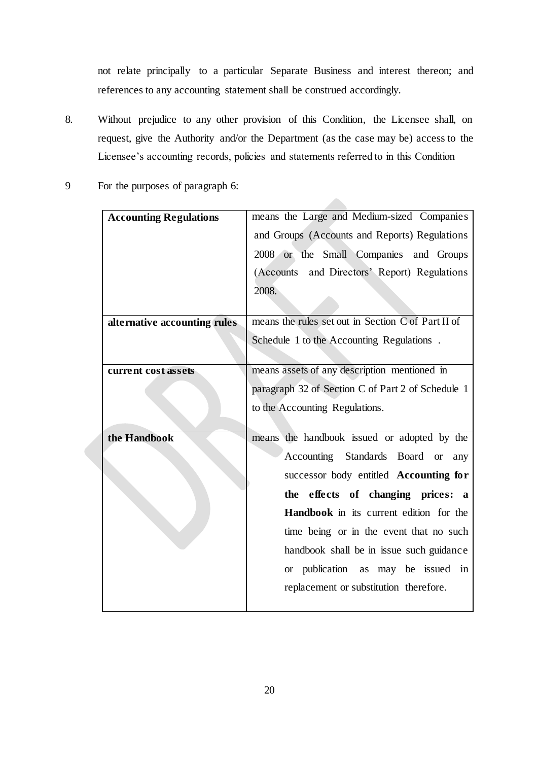not relate principally to a particular Separate Business and interest thereon; and references to any accounting statement shall be construed accordingly.

- 8. Without prejudice to any other provision of this Condition, the Licensee shall, on request, give the Authority and/or the Department (as the case may be) access to the Licensee's accounting records, policies and statements referred to in this Condition
- 9 For the purposes of paragraph 6:

| <b>Accounting Regulations</b> | means the Large and Medium-sized Companies         |  |
|-------------------------------|----------------------------------------------------|--|
|                               | and Groups (Accounts and Reports) Regulations      |  |
|                               | 2008 or the Small Companies and Groups             |  |
|                               | (Accounts and Directors' Report) Regulations       |  |
|                               | 2008.                                              |  |
|                               |                                                    |  |
| alternative accounting rules  | means the rules set out in Section C of Part II of |  |
|                               | Schedule 1 to the Accounting Regulations.          |  |
|                               |                                                    |  |
| current cost assets           | means assets of any description mentioned in       |  |
|                               | paragraph 32 of Section C of Part 2 of Schedule 1  |  |
|                               | to the Accounting Regulations.                     |  |
|                               |                                                    |  |
| the Handbook                  | means the handbook issued or adopted by the        |  |
|                               | Accounting Standards Board<br><b>or</b><br>any     |  |
|                               | successor body entitled Accounting for             |  |
|                               | the effects of changing prices: a                  |  |
|                               | <b>Handbook</b> in its current edition for the     |  |
|                               | time being or in the event that no such            |  |
|                               | handbook shall be in issue such guidance           |  |
|                               | or publication<br>as may be issued in              |  |
|                               |                                                    |  |
|                               | replacement or substitution therefore.             |  |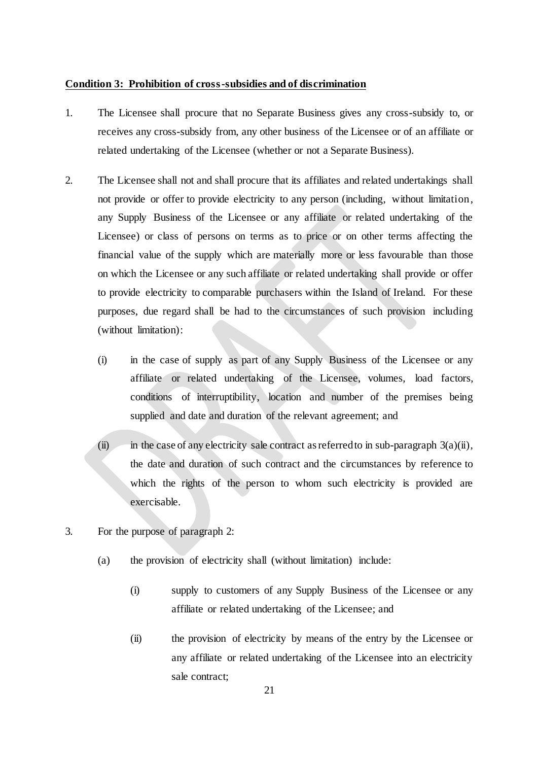#### <span id="page-22-0"></span>**Condition 3: Prohibition of cross-subsidies and of discrimination**

- 1. The Licensee shall procure that no Separate Business gives any cross-subsidy to, or receives any cross-subsidy from, any other business of the Licensee or of an affiliate or related undertaking of the Licensee (whether or not a Separate Business).
- 2. The Licensee shall not and shall procure that its affiliates and related undertakings shall not provide or offer to provide electricity to any person (including, without limitation, any Supply Business of the Licensee or any affiliate or related undertaking of the Licensee) or class of persons on terms as to price or on other terms affecting the financial value of the supply which are materially more or less favourable than those on which the Licensee or any such affiliate or related undertaking shall provide or offer to provide electricity to comparable purchasers within the Island of Ireland. For these purposes, due regard shall be had to the circumstances of such provision including (without limitation):
	- (i) in the case of supply as part of any Supply Business of the Licensee or any affiliate or related undertaking of the Licensee, volumes, load factors, conditions of interruptibility, location and number of the premises being supplied and date and duration of the relevant agreement; and
	- (ii) in the case of any electricity sale contract as referred to in sub-paragraph  $3(a)(ii)$ , the date and duration of such contract and the circumstances by reference to which the rights of the person to whom such electricity is provided are exercisable.
- 3. For the purpose of paragraph 2:
	- (a) the provision of electricity shall (without limitation) include:
		- (i) supply to customers of any Supply Business of the Licensee or any affiliate or related undertaking of the Licensee; and
		- (ii) the provision of electricity by means of the entry by the Licensee or any affiliate or related undertaking of the Licensee into an electricity sale contract;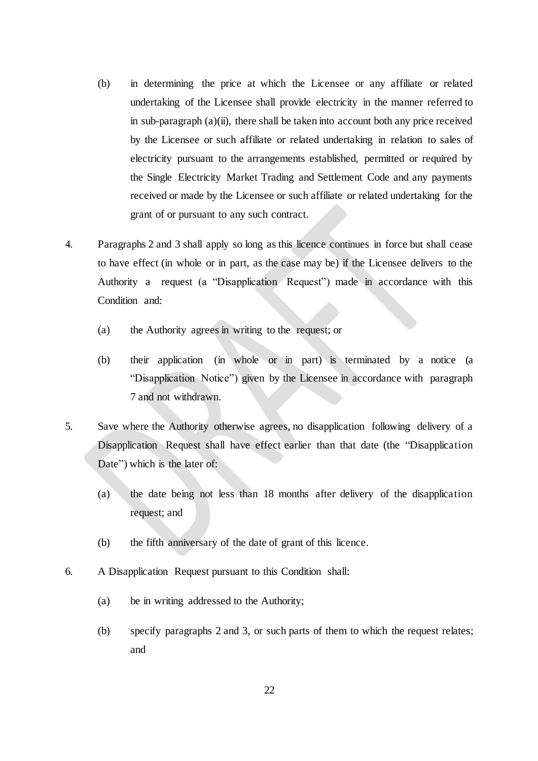- (b) in determining the price at which the Licensee or any affiliate or related undertaking of the Licensee shall provide electricity in the manner referred to in sub-paragraph (a)(ii), there shall be taken into account both any price received by the Licensee or such affiliate or related undertaking in relation to sales of electricity pursuant to the arrangements established, permitted or required by the Single Electricity Market Trading and Settlement Code and any payments received or made by the Licensee or such affiliate or related undertaking for the grant of or pursuant to any such contract.
- 4. Paragraphs 2 and 3 shall apply so long as this licence continues in force but shall cease to have effect (in whole or in part, as the case may be) if the Licensee delivers to the Authority a request (a "Disapplication Request") made in accordance with this Condition and:
	- (a) the Authority agrees in writing to the request; or
	- (b) their application (in whole or in part) is terminated by a notice (a "Disapplication Notice") given by the Licensee in accordance with paragraph 7 and not withdrawn.
- 5. Save where the Authority otherwise agrees, no disapplication following delivery of a Disapplication Request shall have effect earlier than that date (the "Disapplication Date") which is the later of:
	- (a) the date being not less than 18 months after delivery of the disapplication request; and
	- (b) the fifth anniversary of the date of grant of this licence.
- 6. A Disapplication Request pursuant to this Condition shall:
	- (a) be in writing addressed to the Authority;
	- (b) specify paragraphs 2 and 3, or such parts of them to which the request relates; and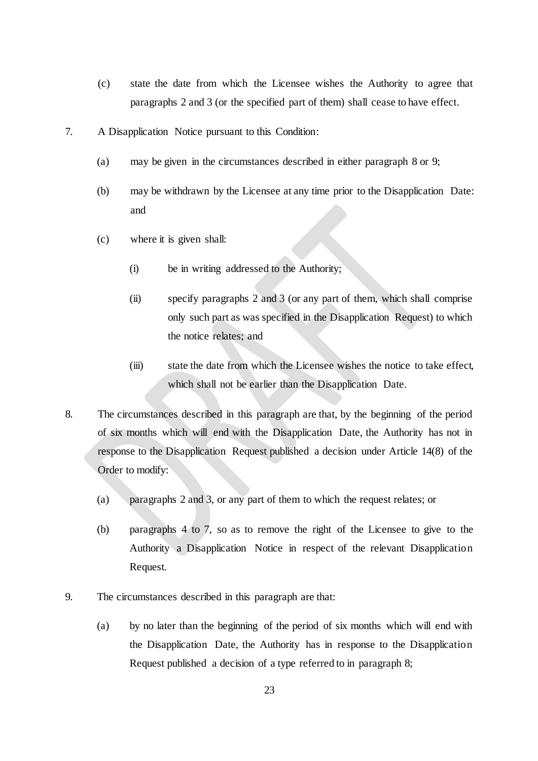- (c) state the date from which the Licensee wishes the Authority to agree that paragraphs 2 and 3 (or the specified part of them) shall cease to have effect.
- 7. A Disapplication Notice pursuant to this Condition:
	- (a) may be given in the circumstances described in either paragraph 8 or 9;
	- (b) may be withdrawn by the Licensee at any time prior to the Disapplication Date: and
	- (c) where it is given shall:
		- (i) be in writing addressed to the Authority;
		- (ii) specify paragraphs 2 and 3 (or any part of them, which shall comprise only such part as was specified in the Disapplication Request) to which the notice relates; and
		- (iii) state the date from which the Licensee wishes the notice to take effect, which shall not be earlier than the Disapplication Date.
- 8. The circumstances described in this paragraph are that, by the beginning of the period of six months which will end with the Disapplication Date, the Authority has not in response to the Disapplication Request published a decision under Article 14(8) of the Order to modify:
	- (a) paragraphs 2 and 3, or any part of them to which the request relates; or
	- (b) paragraphs 4 to 7, so as to remove the right of the Licensee to give to the Authority a Disapplication Notice in respect of the relevant Disapplication Request.
- 9. The circumstances described in this paragraph are that:
	- (a) by no later than the beginning of the period of six months which will end with the Disapplication Date, the Authority has in response to the Disapplication Request published a decision of a type referred to in paragraph 8;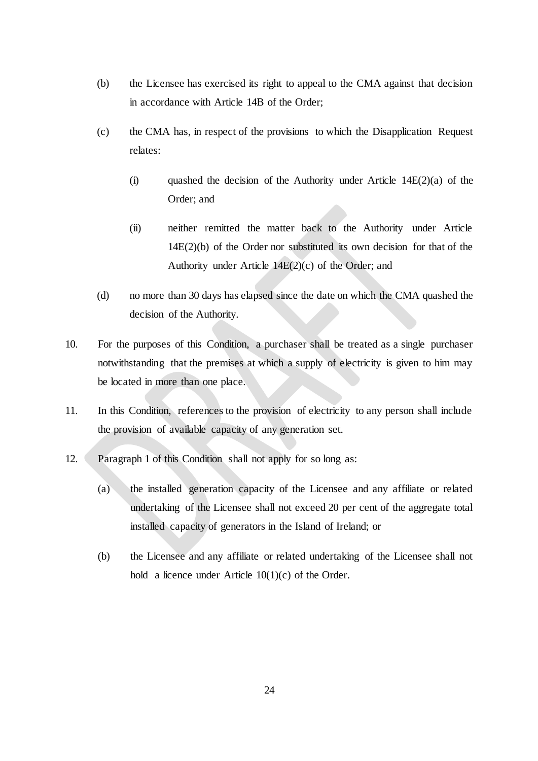- (b) the Licensee has exercised its right to appeal to the CMA against that decision in accordance with Article 14B of the Order;
- (c) the CMA has, in respect of the provisions to which the Disapplication Request relates:
	- (i) quashed the decision of the Authority under Article  $14E(2)(a)$  of the Order; and
	- (ii) neither remitted the matter back to the Authority under Article 14E(2)(b) of the Order nor substituted its own decision for that of the Authority under Article  $14E(2)(c)$  of the Order; and
- (d) no more than 30 days has elapsed since the date on which the CMA quashed the decision of the Authority.
- 10. For the purposes of this Condition, a purchaser shall be treated as a single purchaser notwithstanding that the premises at which a supply of electricity is given to him may be located in more than one place.
- 11. In this Condition, references to the provision of electricity to any person shall include the provision of available capacity of any generation set.
- 12. Paragraph 1 of this Condition shall not apply for so long as:
	- (a) the installed generation capacity of the Licensee and any affiliate or related undertaking of the Licensee shall not exceed 20 per cent of the aggregate total installed capacity of generators in the Island of Ireland; or
	- (b) the Licensee and any affiliate or related undertaking of the Licensee shall not hold a licence under Article  $10(1)(c)$  of the Order.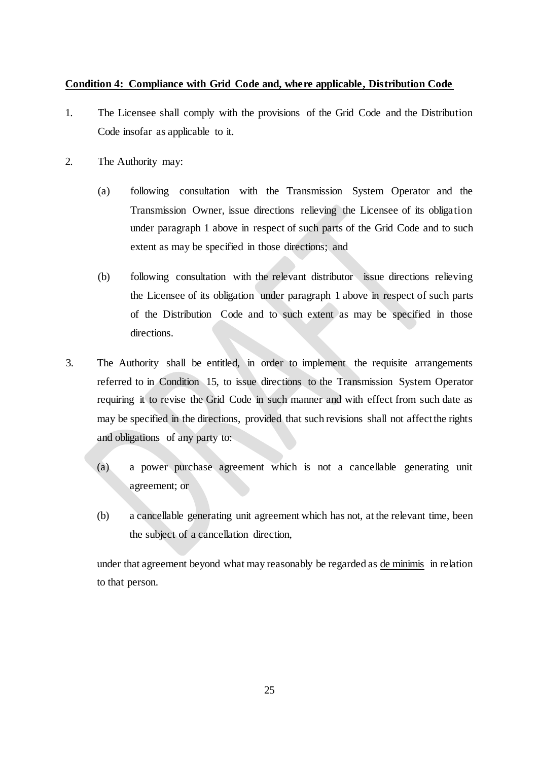### <span id="page-26-0"></span>**Condition 4: Compliance with Grid Code and, where applicable, Distribution Code**

- 1. The Licensee shall comply with the provisions of the Grid Code and the Distribution Code insofar as applicable to it.
- 2. The Authority may:
	- (a) following consultation with the Transmission System Operator and the Transmission Owner, issue directions relieving the Licensee of its obligation under paragraph 1 above in respect of such parts of the Grid Code and to such extent as may be specified in those directions; and
	- (b) following consultation with the relevant distributor issue directions relieving the Licensee of its obligation under paragraph 1 above in respect of such parts of the Distribution Code and to such extent as may be specified in those directions.
- 3. The Authority shall be entitled, in order to implement the requisite arrangements referred to in Condition 15, to issue directions to the Transmission System Operator requiring it to revise the Grid Code in such manner and with effect from such date as may be specified in the directions, provided that such revisions shall not affect the rights and obligations of any party to:
	- (a) a power purchase agreement which is not a cancellable generating unit agreement; or
	- (b) a cancellable generating unit agreement which has not, at the relevant time, been the subject of a cancellation direction,

under that agreement beyond what may reasonably be regarded as de minimis in relation to that person.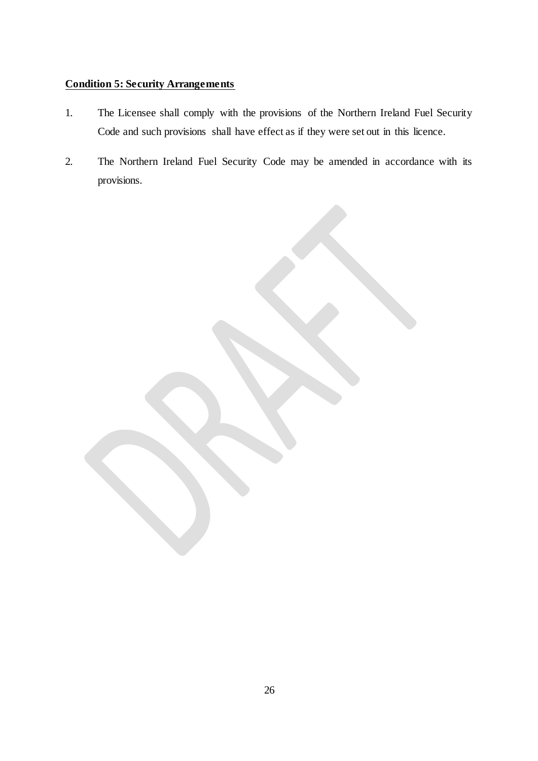## <span id="page-27-0"></span>**Condition 5: Security Arrangements**

- 1. The Licensee shall comply with the provisions of the Northern Ireland Fuel Security Code and such provisions shall have effect as if they were set out in this licence.
- 2. The Northern Ireland Fuel Security Code may be amended in accordance with its provisions.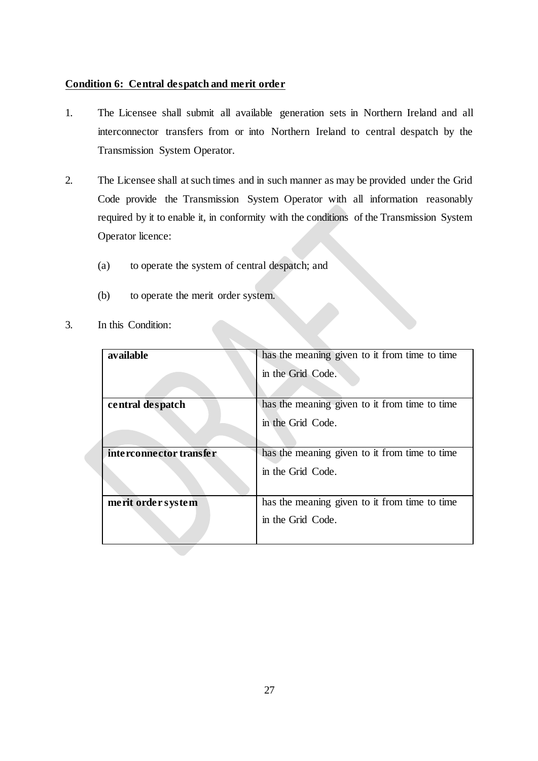## <span id="page-28-0"></span>**Condition 6: Central despatch and merit order**

- 1. The Licensee shall submit all available generation sets in Northern Ireland and all interconnector transfers from or into Northern Ireland to central despatch by the Transmission System Operator.
- 2. The Licensee shall at such times and in such manner as may be provided under the Grid Code provide the Transmission System Operator with all information reasonably required by it to enable it, in conformity with the conditions of the Transmission System Operator licence:
	- (a) to operate the system of central despatch; and
	- (b) to operate the merit order system.
- 3. In this Condition:

<span id="page-28-1"></span>

| available               | has the meaning given to it from time to time |  |
|-------------------------|-----------------------------------------------|--|
|                         | in the Grid Code.                             |  |
|                         |                                               |  |
| central despatch        | has the meaning given to it from time to time |  |
|                         | in the Grid Code.                             |  |
|                         |                                               |  |
| interconnector transfer | has the meaning given to it from time to time |  |
|                         | in the Grid Code.                             |  |
|                         |                                               |  |
| merit order system      | has the meaning given to it from time to time |  |
|                         | in the Grid Code.                             |  |
|                         |                                               |  |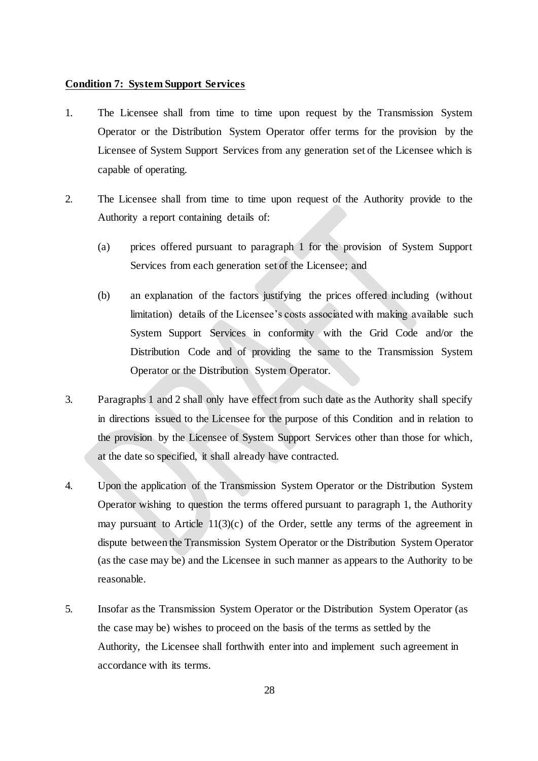#### **Condition 7: System Support Services**

- 1. The Licensee shall from time to time upon request by the Transmission System Operator or the Distribution System Operator offer terms for the provision by the Licensee of System Support Services from any generation set of the Licensee which is capable of operating.
- 2. The Licensee shall from time to time upon request of the Authority provide to the Authority a report containing details of:
	- (a) prices offered pursuant to paragraph 1 for the provision of System Support Services from each generation set of the Licensee; and
	- (b) an explanation of the factors justifying the prices offered including (without limitation) details of the Licensee's costs associated with making available such System Support Services in conformity with the Grid Code and/or the Distribution Code and of providing the same to the Transmission System Operator or the Distribution System Operator.
- 3. Paragraphs 1 and 2 shall only have effect from such date as the Authority shall specify in directions issued to the Licensee for the purpose of this Condition and in relation to the provision by the Licensee of System Support Services other than those for which, at the date so specified, it shall already have contracted.
- 4. Upon the application of the Transmission System Operator or the Distribution System Operator wishing to question the terms offered pursuant to paragraph 1, the Authority may pursuant to Article  $11(3)(c)$  of the Order, settle any terms of the agreement in dispute between the Transmission System Operator or the Distribution System Operator (as the case may be) and the Licensee in such manner as appears to the Authority to be reasonable.
- 5. Insofar as the Transmission System Operator or the Distribution System Operator (as the case may be) wishes to proceed on the basis of the terms as settled by the Authority, the Licensee shall forthwith enter into and implement such agreement in accordance with its terms.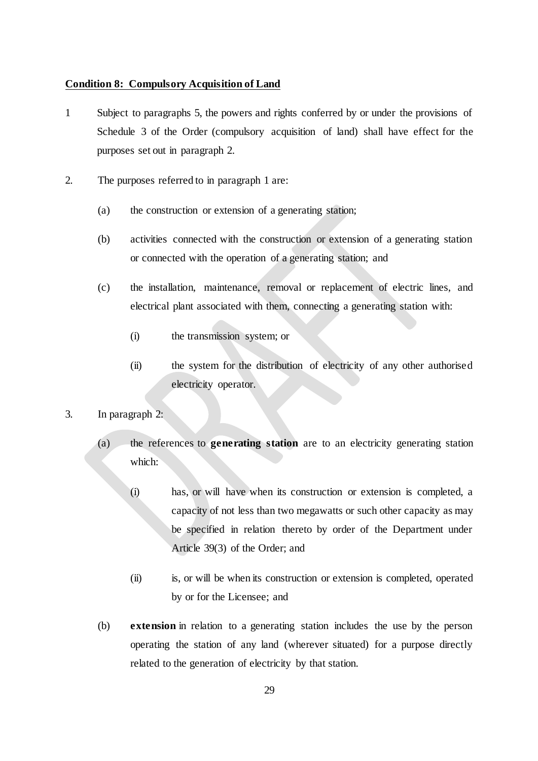#### <span id="page-30-0"></span>**Condition 8: Compulsory Acquisition of Land**

- 1 Subject to paragraphs 5, the powers and rights conferred by or under the provisions of Schedule 3 of the Order (compulsory acquisition of land) shall have effect for the purposes set out in paragraph 2.
- 2. The purposes referred to in paragraph 1 are:
	- (a) the construction or extension of a generating station;
	- (b) activities connected with the construction or extension of a generating station or connected with the operation of a generating station; and
	- (c) the installation, maintenance, removal or replacement of electric lines, and electrical plant associated with them, connecting a generating station with:
		- (i) the transmission system; or
		- (ii) the system for the distribution of electricity of any other authorised electricity operator.
- 3. In paragraph 2:
	- (a) the references to **generating station** are to an electricity generating station which:
		- (i) has, or will have when its construction or extension is completed, a capacity of not less than two megawatts or such other capacity as may be specified in relation thereto by order of the Department under Article 39(3) of the Order; and
		- (ii) is, or will be when its construction or extension is completed, operated by or for the Licensee; and
	- (b) **extension** in relation to a generating station includes the use by the person operating the station of any land (wherever situated) for a purpose directly related to the generation of electricity by that station.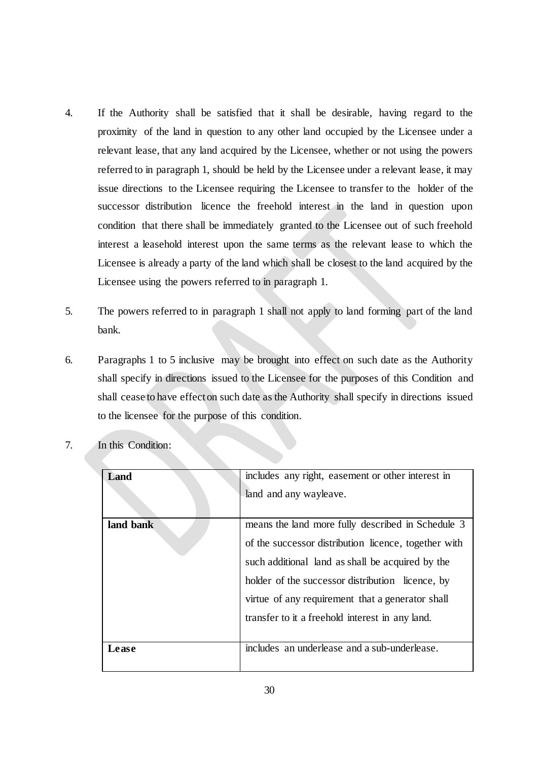- 4. If the Authority shall be satisfied that it shall be desirable, having regard to the proximity of the land in question to any other land occupied by the Licensee under a relevant lease, that any land acquired by the Licensee, whether or not using the powers referred to in paragraph 1, should be held by the Licensee under a relevant lease, it may issue directions to the Licensee requiring the Licensee to transfer to the holder of the successor distribution licence the freehold interest in the land in question upon condition that there shall be immediately granted to the Licensee out of such freehold interest a leasehold interest upon the same terms as the relevant lease to which the Licensee is already a party of the land which shall be closest to the land acquired by the Licensee using the powers referred to in paragraph 1.
- 5. The powers referred to in paragraph 1 shall not apply to land forming part of the land bank.
- 6. Paragraphs 1 to 5 inclusive may be brought into effect on such date as the Authority shall specify in directions issued to the Licensee for the purposes of this Condition and shall cease to have effect on such date as the Authority shall specify in directions issued to the licensee for the purpose of this condition.

| Land      | includes any right, easement or other interest in    |
|-----------|------------------------------------------------------|
|           | land and any wayleave.                               |
| land bank | means the land more fully described in Schedule 3    |
|           | of the successor distribution licence, together with |
|           | such additional land as shall be acquired by the     |
|           | holder of the successor distribution licence, by     |
|           | virtue of any requirement that a generator shall     |
|           | transfer to it a freehold interest in any land.      |
|           |                                                      |
| Lease     | includes an underlease and a sub-underlease.         |

7. In this Condition: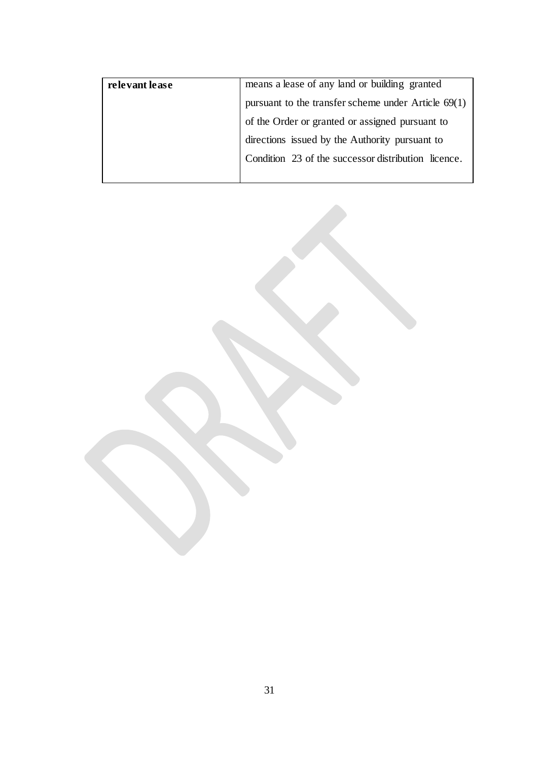| relevant lease | means a lease of any land or building granted                                                     |
|----------------|---------------------------------------------------------------------------------------------------|
|                | pursuant to the transfer scheme under Article $69(1)$                                             |
|                | of the Order or granted or assigned pursuant to<br>directions issued by the Authority pursuant to |
|                |                                                                                                   |
|                | Condition 23 of the successor distribution licence.                                               |
|                |                                                                                                   |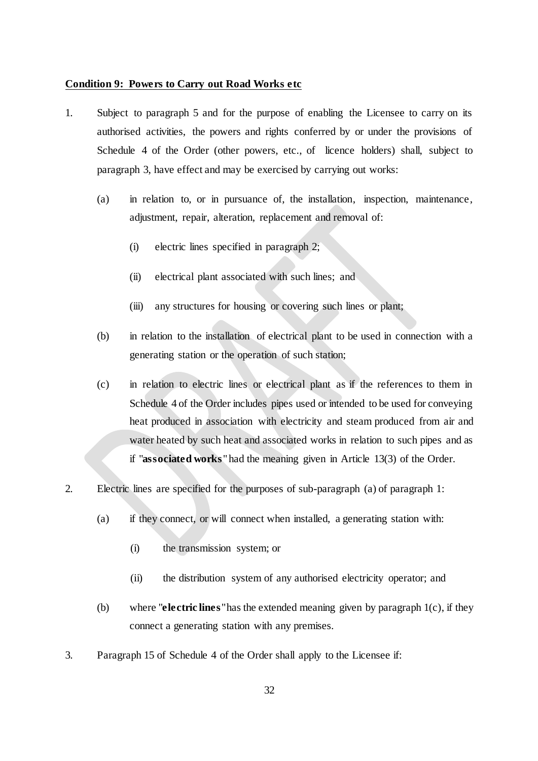#### <span id="page-33-0"></span>**Condition 9: Powers to Carry out Road Works etc**

- 1. Subject to paragraph 5 and for the purpose of enabling the Licensee to carry on its authorised activities, the powers and rights conferred by or under the provisions of Schedule 4 of the Order (other powers, etc., of licence holders) shall, subject to paragraph 3, have effect and may be exercised by carrying out works:
	- (a) in relation to, or in pursuance of, the installation, inspection, maintenance, adjustment, repair, alteration, replacement and removal of:
		- (i) electric lines specified in paragraph 2;
		- (ii) electrical plant associated with such lines; and
		- (iii) any structures for housing or covering such lines or plant;
	- (b) in relation to the installation of electrical plant to be used in connection with a generating station or the operation of such station;
	- (c) in relation to electric lines or electrical plant as if the references to them in Schedule 4 of the Order includes pipes used or intended to be used for conveying heat produced in association with electricity and steam produced from air and water heated by such heat and associated works in relation to such pipes and as if "**associated works**" had the meaning given in Article 13(3) of the Order.
- 2. Electric lines are specified for the purposes of sub-paragraph (a) of paragraph 1:
	- (a) if they connect, or will connect when installed, a generating station with:
		- (i) the transmission system; or
		- (ii) the distribution system of any authorised electricity operator; and
	- (b) where "**electric lines**" has the extended meaning given by paragraph 1(c), if they connect a generating station with any premises.
- 3. Paragraph 15 of Schedule 4 of the Order shall apply to the Licensee if: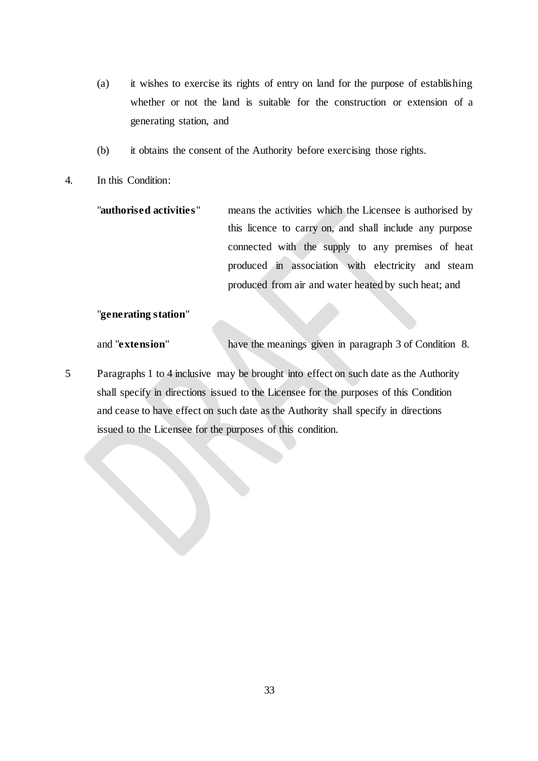- (a) it wishes to exercise its rights of entry on land for the purpose of establishing whether or not the land is suitable for the construction or extension of a generating station, and
- (b) it obtains the consent of the Authority before exercising those rights.
- 4. In this Condition:

| "authorised activities" | means the activities which the Licensee is authorised by |
|-------------------------|----------------------------------------------------------|
|                         | this licence to carry on, and shall include any purpose  |
|                         | connected with the supply to any premises of heat        |
|                         | produced in association with electricity and steam       |
|                         | produced from air and water heated by such heat; and     |

## "**generating station**"

and "**extension**" have the meanings given in paragraph 3 of Condition 8.

5 Paragraphs 1 to 4 inclusive may be brought into effect on such date as the Authority shall specify in directions issued to the Licensee for the purposes of this Condition and cease to have effect on such date as the Authority shall specify in directions issued to the Licensee for the purposes of this condition.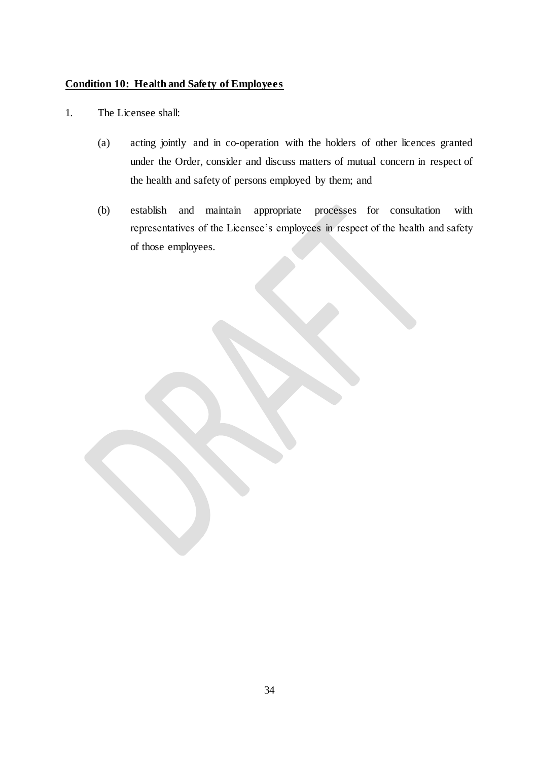## <span id="page-35-0"></span>**Condition 10: Health and Safety of Employees**

- 1. The Licensee shall:
	- (a) acting jointly and in co-operation with the holders of other licences granted under the Order, consider and discuss matters of mutual concern in respect of the health and safety of persons employed by them; and
	- (b) establish and maintain appropriate processes for consultation with representatives of the Licensee's employees in respect of the health and safety of those employees.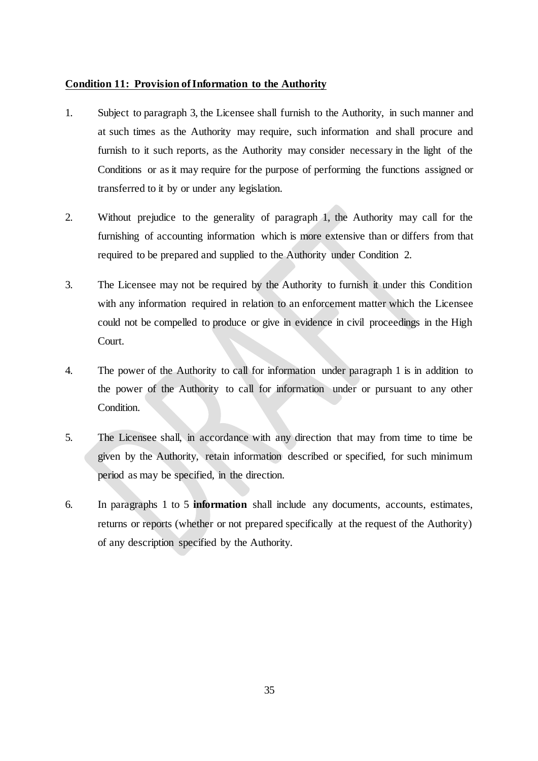#### <span id="page-36-0"></span>**Condition 11: Provision of Information to the Authority**

- 1. Subject to paragraph 3, the Licensee shall furnish to the Authority, in such manner and at such times as the Authority may require, such information and shall procure and furnish to it such reports, as the Authority may consider necessary in the light of the Conditions or as it may require for the purpose of performing the functions assigned or transferred to it by or under any legislation.
- 2. Without prejudice to the generality of paragraph 1, the Authority may call for the furnishing of accounting information which is more extensive than or differs from that required to be prepared and supplied to the Authority under Condition 2.
- 3. The Licensee may not be required by the Authority to furnish it under this Condition with any information required in relation to an enforcement matter which the Licensee could not be compelled to produce or give in evidence in civil proceedings in the High Court.
- 4. The power of the Authority to call for information under paragraph 1 is in addition to the power of the Authority to call for information under or pursuant to any other Condition.
- 5. The Licensee shall, in accordance with any direction that may from time to time be given by the Authority, retain information described or specified, for such minimum period as may be specified, in the direction.
- 6. In paragraphs 1 to 5 **information** shall include any documents, accounts, estimates, returns or reports (whether or not prepared specifically at the request of the Authority) of any description specified by the Authority.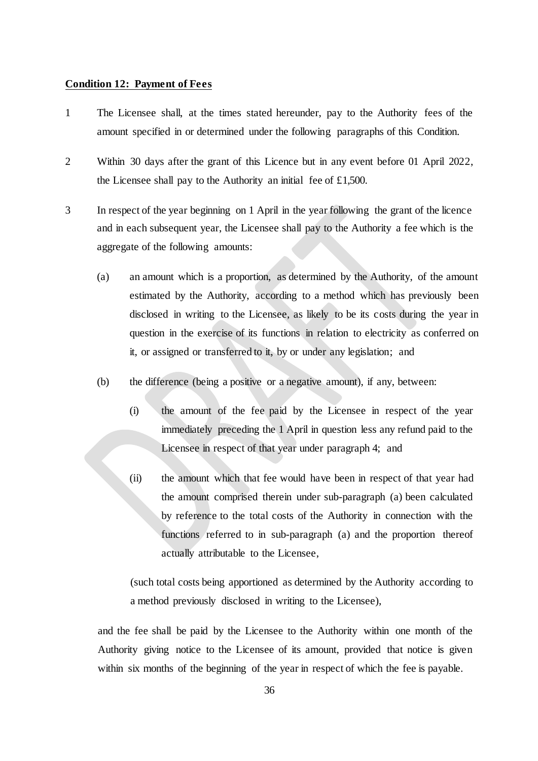#### <span id="page-37-0"></span>**Condition 12: Payment of Fees**

- 1 The Licensee shall, at the times stated hereunder, pay to the Authority fees of the amount specified in or determined under the following paragraphs of this Condition.
- 2 Within 30 days after the grant of this Licence but in any event before 01 April 2022, the Licensee shall pay to the Authority an initial fee of £1,500.
- 3 In respect of the year beginning on 1 April in the year following the grant of the licence and in each subsequent year, the Licensee shall pay to the Authority a fee which is the aggregate of the following amounts:
	- (a) an amount which is a proportion, as determined by the Authority, of the amount estimated by the Authority, according to a method which has previously been disclosed in writing to the Licensee, as likely to be its costs during the year in question in the exercise of its functions in relation to electricity as conferred on it, or assigned or transferred to it, by or under any legislation; and
	- (b) the difference (being a positive or a negative amount), if any, between:
		- (i) the amount of the fee paid by the Licensee in respect of the year immediately preceding the 1 April in question less any refund paid to the Licensee in respect of that year under paragraph 4; and
		- (ii) the amount which that fee would have been in respect of that year had the amount comprised therein under sub-paragraph (a) been calculated by reference to the total costs of the Authority in connection with the functions referred to in sub-paragraph (a) and the proportion thereof actually attributable to the Licensee,

(such total costs being apportioned as determined by the Authority according to a method previously disclosed in writing to the Licensee),

and the fee shall be paid by the Licensee to the Authority within one month of the Authority giving notice to the Licensee of its amount, provided that notice is given within six months of the beginning of the year in respect of which the fee is payable.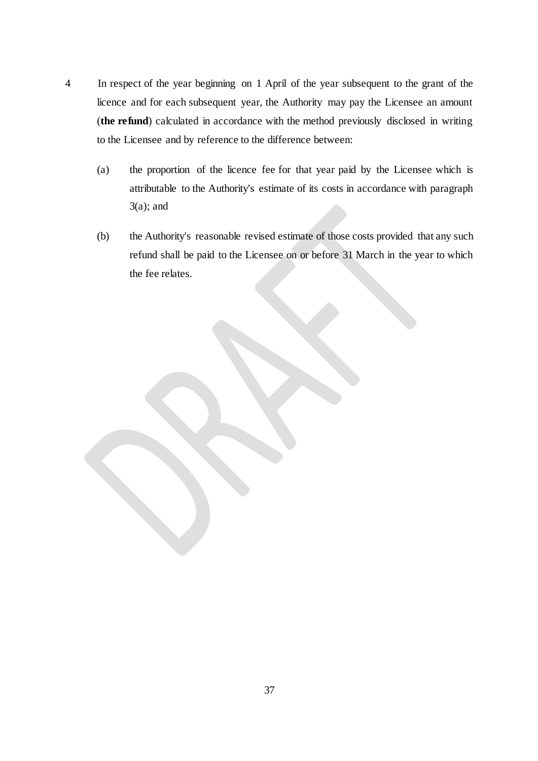- 4 In respect of the year beginning on 1 April of the year subsequent to the grant of the licence and for each subsequent year, the Authority may pay the Licensee an amount (**the refund**) calculated in accordance with the method previously disclosed in writing to the Licensee and by reference to the difference between:
	- (a) the proportion of the licence fee for that year paid by the Licensee which is attributable to the Authority's estimate of its costs in accordance with paragraph  $3(a)$ ; and
	- (b) the Authority's reasonable revised estimate of those costs provided that any such refund shall be paid to the Licensee on or before 31 March in the year to which the fee relates.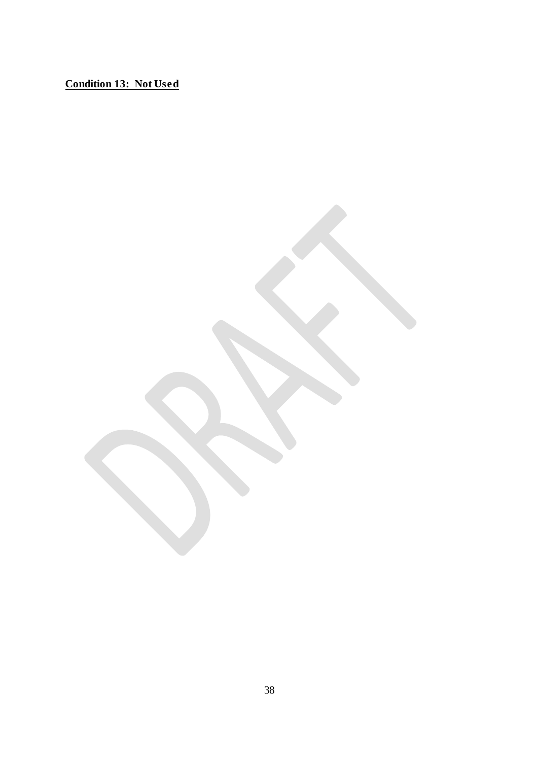<span id="page-39-0"></span>**Condition 13: Not Used**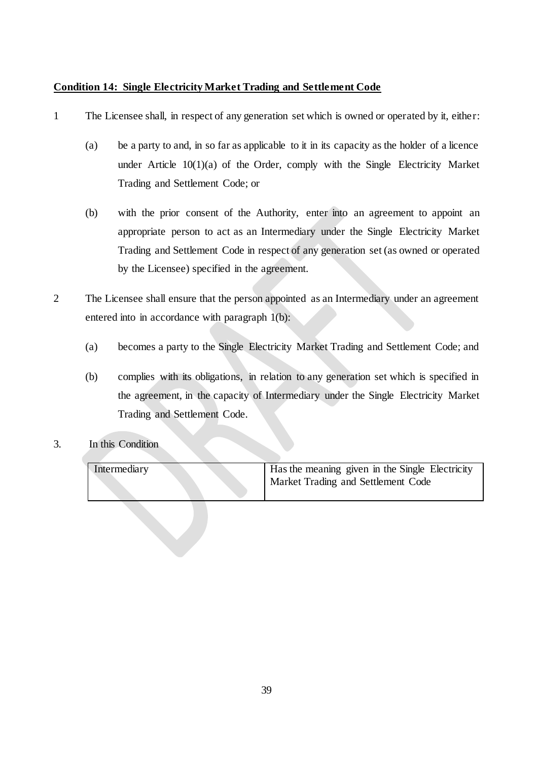## <span id="page-40-0"></span>**Condition 14: Single Electricity Market Trading and Settlement Code**

- 1 The Licensee shall, in respect of any generation set which is owned or operated by it, either:
	- (a) be a party to and, in so far as applicable to it in its capacity as the holder of a licence under Article  $10(1)(a)$  of the Order, comply with the Single Electricity Market Trading and Settlement Code; or
	- (b) with the prior consent of the Authority, enter into an agreement to appoint an appropriate person to act as an Intermediary under the Single Electricity Market Trading and Settlement Code in respect of any generation set (as owned or operated by the Licensee) specified in the agreement.
- 2 The Licensee shall ensure that the person appointed as an Intermediary under an agreement entered into in accordance with paragraph 1(b):
	- (a) becomes a party to the Single Electricity Market Trading and Settlement Code; and
	- (b) complies with its obligations, in relation to any generation set which is specified in the agreement, in the capacity of Intermediary under the Single Electricity Market Trading and Settlement Code.
- <span id="page-40-1"></span>3. In this Condition

| Intermediary | Has the meaning given in the Single Electricity<br>Market Trading and Settlement Code |
|--------------|---------------------------------------------------------------------------------------|
|              |                                                                                       |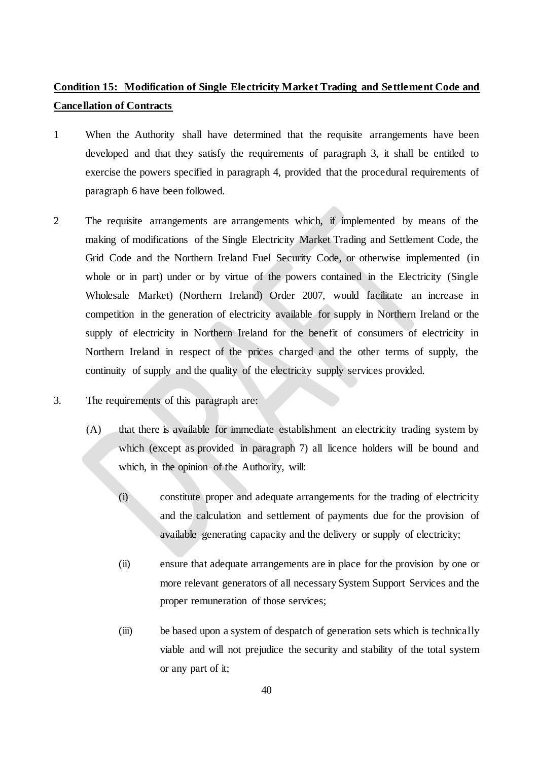## **Condition 15: Modification of Single Electricity Market Trading and Settlement Code and Cancellation of Contracts**

- 1 When the Authority shall have determined that the requisite arrangements have been developed and that they satisfy the requirements of paragraph 3, it shall be entitled to exercise the powers specified in paragraph 4, provided that the procedural requirements of paragraph 6 have been followed.
- 2 The requisite arrangements are arrangements which, if implemented by means of the making of modifications of the Single Electricity Market Trading and Settlement Code, the Grid Code and the Northern Ireland Fuel Security Code, or otherwise implemented (in whole or in part) under or by virtue of the powers contained in the Electricity (Single Wholesale Market) (Northern Ireland) Order 2007, would facilitate an increase in competition in the generation of electricity available for supply in Northern Ireland or the supply of electricity in Northern Ireland for the benefit of consumers of electricity in Northern Ireland in respect of the prices charged and the other terms of supply, the continuity of supply and the quality of the electricity supply services provided.
- 3. The requirements of this paragraph are:
	- (A) that there is available for immediate establishment an electricity trading system by which (except as provided in paragraph 7) all licence holders will be bound and which, in the opinion of the Authority, will:
		- (i) constitute proper and adequate arrangements for the trading of electricity and the calculation and settlement of payments due for the provision of available generating capacity and the delivery or supply of electricity;
		- (ii) ensure that adequate arrangements are in place for the provision by one or more relevant generators of all necessary System Support Services and the proper remuneration of those services;
		- (iii) be based upon a system of despatch of generation sets which is technically viable and will not prejudice the security and stability of the total system or any part of it;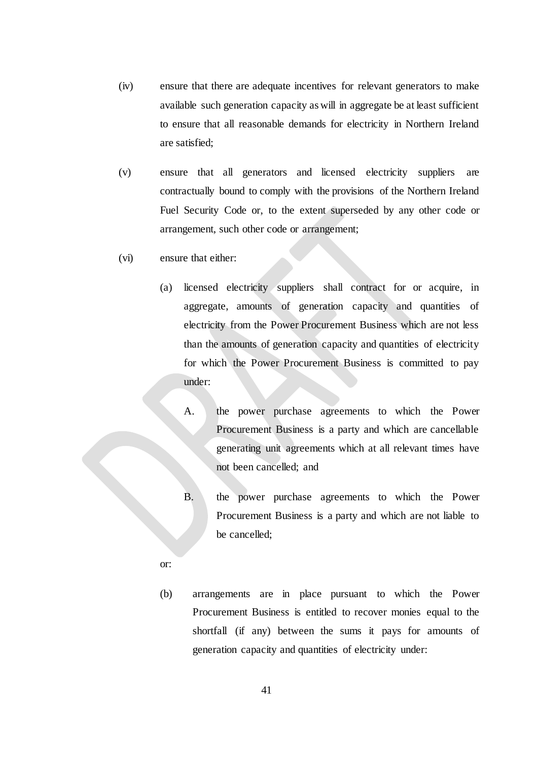- (iv) ensure that there are adequate incentives for relevant generators to make available such generation capacity as will in aggregate be at least sufficient to ensure that all reasonable demands for electricity in Northern Ireland are satisfied;
- (v) ensure that all generators and licensed electricity suppliers are contractually bound to comply with the provisions of the Northern Ireland Fuel Security Code or, to the extent superseded by any other code or arrangement, such other code or arrangement;
- (vi) ensure that either:
	- (a) licensed electricity suppliers shall contract for or acquire, in aggregate, amounts of generation capacity and quantities of electricity from the Power Procurement Business which are not less than the amounts of generation capacity and quantities of electricity for which the Power Procurement Business is committed to pay under:
		- A. the power purchase agreements to which the Power Procurement Business is a party and which are cancellable generating unit agreements which at all relevant times have not been cancelled; and
		- B. the power purchase agreements to which the Power Procurement Business is a party and which are not liable to be cancelled;
	- or:
	- (b) arrangements are in place pursuant to which the Power Procurement Business is entitled to recover monies equal to the shortfall (if any) between the sums it pays for amounts of generation capacity and quantities of electricity under: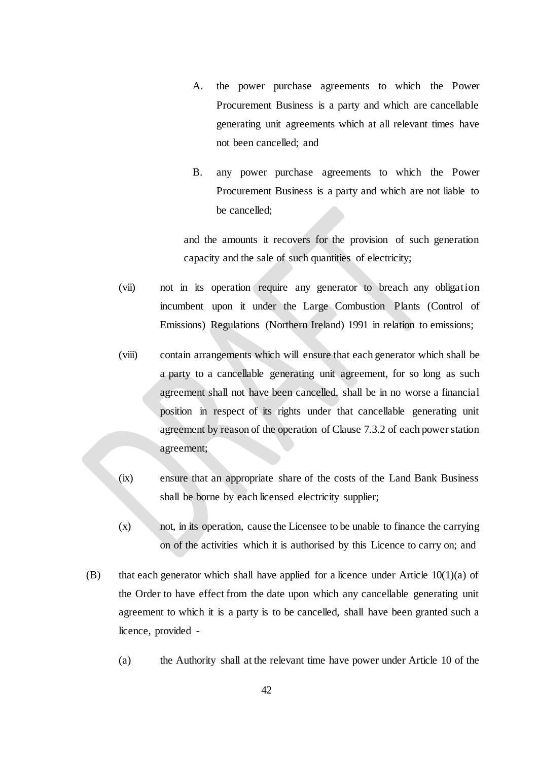- A. the power purchase agreements to which the Power Procurement Business is a party and which are cancellable generating unit agreements which at all relevant times have not been cancelled; and
- B. any power purchase agreements to which the Power Procurement Business is a party and which are not liable to be cancelled;

and the amounts it recovers for the provision of such generation capacity and the sale of such quantities of electricity;

- (vii) not in its operation require any generator to breach any obligation incumbent upon it under the Large Combustion Plants (Control of Emissions) Regulations (Northern Ireland) 1991 in relation to emissions;
- (viii) contain arrangements which will ensure that each generator which shall be a party to a cancellable generating unit agreement, for so long as such agreement shall not have been cancelled, shall be in no worse a financial position in respect of its rights under that cancellable generating unit agreement by reason of the operation of Clause 7.3.2 of each power station agreement;
- (ix) ensure that an appropriate share of the costs of the Land Bank Business shall be borne by each licensed electricity supplier;
- (x) not, in its operation, cause the Licensee to be unable to finance the carrying on of the activities which it is authorised by this Licence to carry on; and
- (B) that each generator which shall have applied for a licence under Article  $10(1)(a)$  of the Order to have effect from the date upon which any cancellable generating unit agreement to which it is a party is to be cancelled, shall have been granted such a licence, provided -
	- (a) the Authority shall at the relevant time have power under Article 10 of the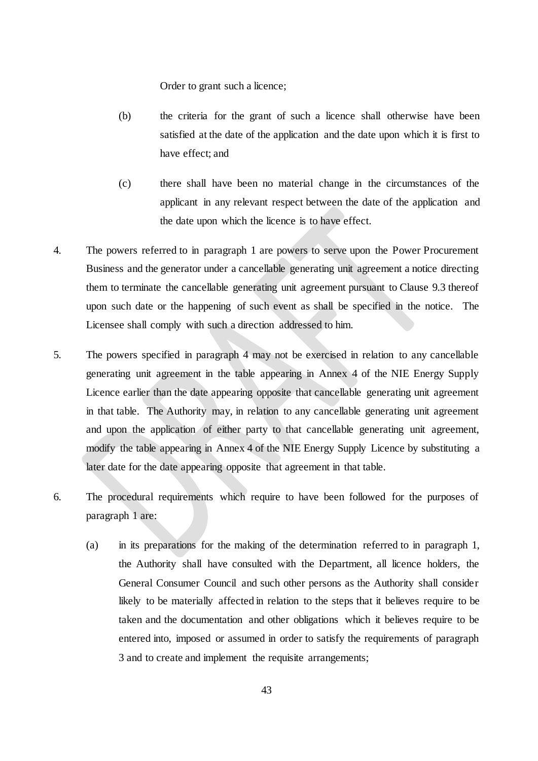Order to grant such a licence;

- (b) the criteria for the grant of such a licence shall otherwise have been satisfied at the date of the application and the date upon which it is first to have effect; and
- (c) there shall have been no material change in the circumstances of the applicant in any relevant respect between the date of the application and the date upon which the licence is to have effect.
- 4. The powers referred to in paragraph 1 are powers to serve upon the Power Procurement Business and the generator under a cancellable generating unit agreement a notice directing them to terminate the cancellable generating unit agreement pursuant to Clause 9.3 thereof upon such date or the happening of such event as shall be specified in the notice. The Licensee shall comply with such a direction addressed to him.
- 5. The powers specified in paragraph 4 may not be exercised in relation to any cancellable generating unit agreement in the table appearing in Annex 4 of the NIE Energy Supply Licence earlier than the date appearing opposite that cancellable generating unit agreement in that table. The Authority may, in relation to any cancellable generating unit agreement and upon the application of either party to that cancellable generating unit agreement, modify the table appearing in Annex 4 of the NIE Energy Supply Licence by substituting a later date for the date appearing opposite that agreement in that table.
- 6. The procedural requirements which require to have been followed for the purposes of paragraph 1 are:
	- (a) in its preparations for the making of the determination referred to in paragraph 1, the Authority shall have consulted with the Department, all licence holders, the General Consumer Council and such other persons as the Authority shall consider likely to be materially affected in relation to the steps that it believes require to be taken and the documentation and other obligations which it believes require to be entered into, imposed or assumed in order to satisfy the requirements of paragraph 3 and to create and implement the requisite arrangements;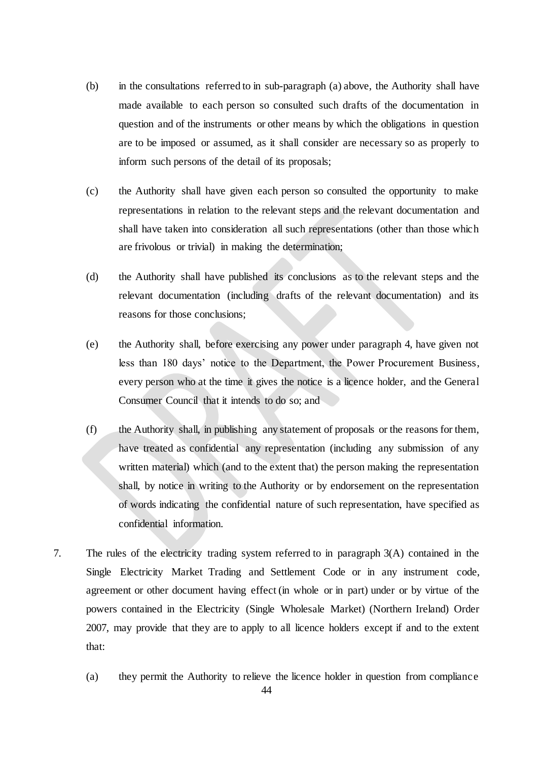- (b) in the consultations referred to in sub-paragraph (a) above, the Authority shall have made available to each person so consulted such drafts of the documentation in question and of the instruments or other means by which the obligations in question are to be imposed or assumed, as it shall consider are necessary so as properly to inform such persons of the detail of its proposals;
- (c) the Authority shall have given each person so consulted the opportunity to make representations in relation to the relevant steps and the relevant documentation and shall have taken into consideration all such representations (other than those which are frivolous or trivial) in making the determination;
- (d) the Authority shall have published its conclusions as to the relevant steps and the relevant documentation (including drafts of the relevant documentation) and its reasons for those conclusions;
- (e) the Authority shall, before exercising any power under paragraph 4, have given not less than 180 days' notice to the Department, the Power Procurement Business, every person who at the time it gives the notice is a licence holder, and the General Consumer Council that it intends to do so; and
- (f) the Authority shall, in publishing any statement of proposals or the reasons for them, have treated as confidential any representation (including any submission of any written material) which (and to the extent that) the person making the representation shall, by notice in writing to the Authority or by endorsement on the representation of words indicating the confidential nature of such representation, have specified as confidential information.
- 7. The rules of the electricity trading system referred to in paragraph 3(A) contained in the Single Electricity Market Trading and Settlement Code or in any instrument code, agreement or other document having effect (in whole or in part) under or by virtue of the powers contained in the Electricity (Single Wholesale Market) (Northern Ireland) Order 2007, may provide that they are to apply to all licence holders except if and to the extent that:
	- (a) they permit the Authority to relieve the licence holder in question from compliance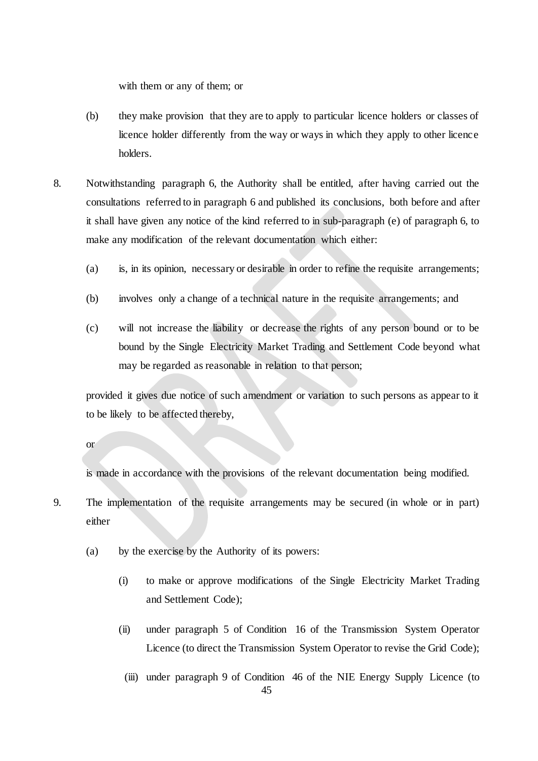with them or any of them; or

- (b) they make provision that they are to apply to particular licence holders or classes of licence holder differently from the way or ways in which they apply to other licence holders.
- 8. Notwithstanding paragraph 6, the Authority shall be entitled, after having carried out the consultations referred to in paragraph 6 and published its conclusions, both before and after it shall have given any notice of the kind referred to in sub-paragraph (e) of paragraph 6, to make any modification of the relevant documentation which either:
	- (a) is, in its opinion, necessary or desirable in order to refine the requisite arrangements;
	- (b) involves only a change of a technical nature in the requisite arrangements; and
	- (c) will not increase the liability or decrease the rights of any person bound or to be bound by the Single Electricity Market Trading and Settlement Code beyond what may be regarded as reasonable in relation to that person;

provided it gives due notice of such amendment or variation to such persons as appear to it to be likely to be affected thereby,

or

is made in accordance with the provisions of the relevant documentation being modified.

- 9. The implementation of the requisite arrangements may be secured (in whole or in part) either
	- (a) by the exercise by the Authority of its powers:
		- (i) to make or approve modifications of the Single Electricity Market Trading and Settlement Code);
		- (ii) under paragraph 5 of Condition 16 of the Transmission System Operator Licence (to direct the Transmission System Operator to revise the Grid Code);
			- 45 (iii) under paragraph 9 of Condition 46 of the NIE Energy Supply Licence (to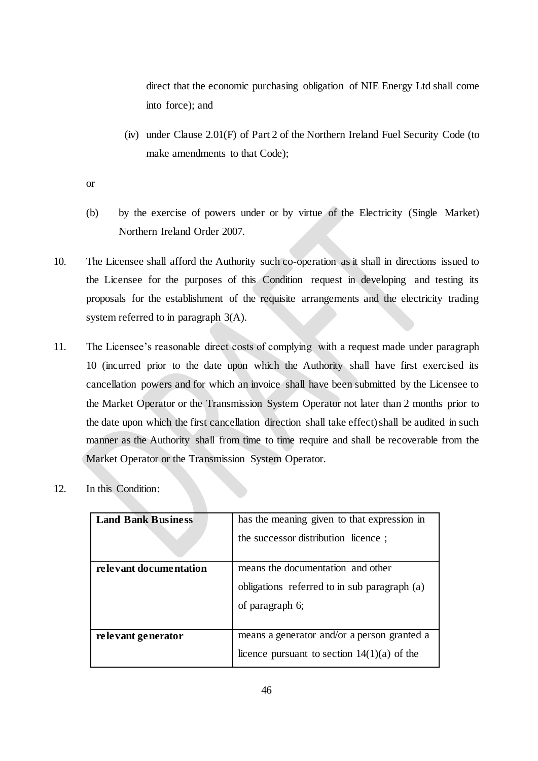direct that the economic purchasing obligation of NIE Energy Ltd shall come into force); and

(iv) under Clause 2.01(F) of Part 2 of the Northern Ireland Fuel Security Code (to make amendments to that Code);

or

- (b) by the exercise of powers under or by virtue of the Electricity (Single Market) Northern Ireland Order 2007.
- 10. The Licensee shall afford the Authority such co-operation as it shall in directions issued to the Licensee for the purposes of this Condition request in developing and testing its proposals for the establishment of the requisite arrangements and the electricity trading system referred to in paragraph 3(A).
- 11. The Licensee's reasonable direct costs of complying with a request made under paragraph 10 (incurred prior to the date upon which the Authority shall have first exercised its cancellation powers and for which an invoice shall have been submitted by the Licensee to the Market Operator or the Transmission System Operator not later than 2 months prior to the date upon which the first cancellation direction shall take effect) shall be audited in such manner as the Authority shall from time to time require and shall be recoverable from the Market Operator or the Transmission System Operator.
- 12. In this Condition:

| <b>Land Bank Business</b> | has the meaning given to that expression in<br>the successor distribution licence;                   |
|---------------------------|------------------------------------------------------------------------------------------------------|
| relevant documentation    | means the documentation and other<br>obligations referred to in sub paragraph (a)<br>of paragraph 6; |
| relevant generator        | means a generator and/or a person granted a<br>licence pursuant to section $14(1)(a)$ of the         |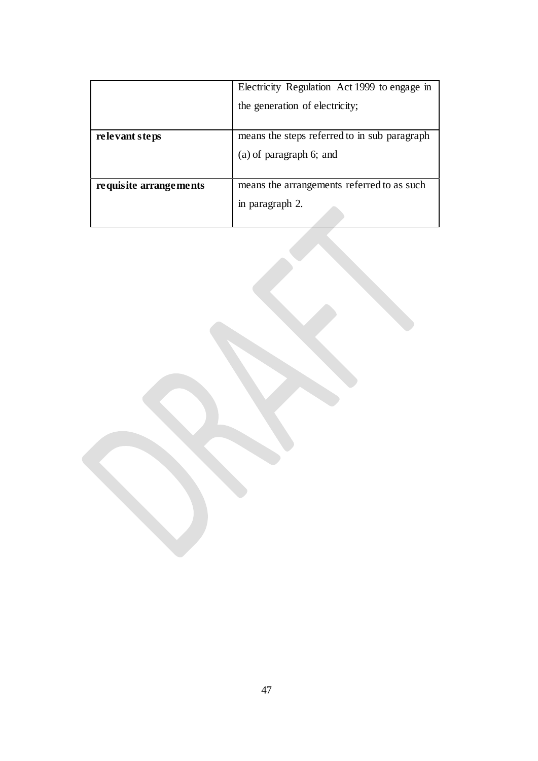|                        | Electricity Regulation Act 1999 to engage in |  |
|------------------------|----------------------------------------------|--|
|                        | the generation of electricity;               |  |
|                        |                                              |  |
| relevant steps         | means the steps referred to in sub paragraph |  |
|                        | $(a)$ of paragraph 6; and                    |  |
|                        |                                              |  |
| requisite arrangements | means the arrangements referred to as such   |  |
|                        | in paragraph 2.                              |  |
|                        |                                              |  |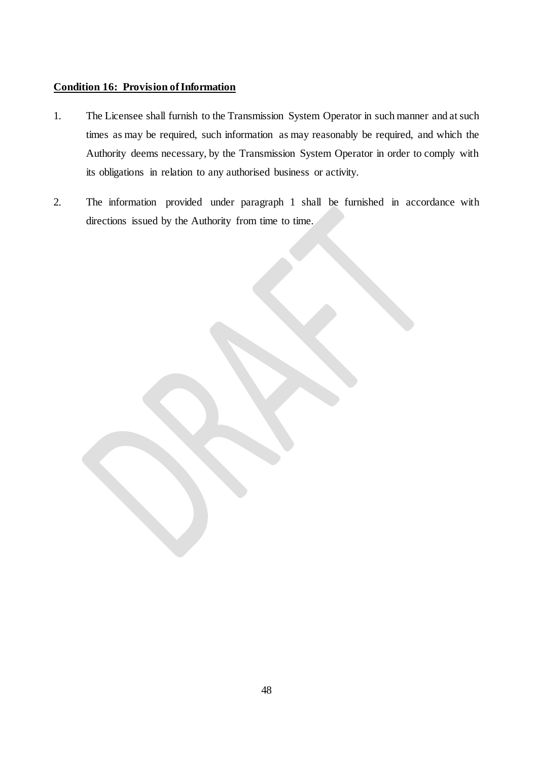## <span id="page-49-0"></span>**Condition 16: Provision of Information**

- 1. The Licensee shall furnish to the Transmission System Operator in such manner and at such times as may be required, such information as may reasonably be required, and which the Authority deems necessary, by the Transmission System Operator in order to comply with its obligations in relation to any authorised business or activity.
- 2. The information provided under paragraph 1 shall be furnished in accordance with directions issued by the Authority from time to time.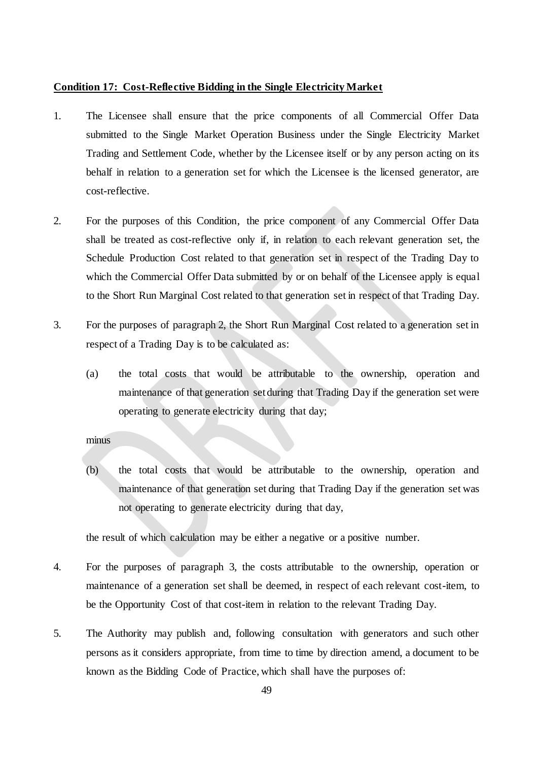#### <span id="page-50-0"></span>**Condition 17: Cost-Reflective Bidding in the Single Electricity Market**

- 1. The Licensee shall ensure that the price components of all Commercial Offer Data submitted to the Single Market Operation Business under the Single Electricity Market Trading and Settlement Code, whether by the Licensee itself or by any person acting on its behalf in relation to a generation set for which the Licensee is the licensed generator, are cost-reflective.
- 2. For the purposes of this Condition, the price component of any Commercial Offer Data shall be treated as cost-reflective only if, in relation to each relevant generation set, the Schedule Production Cost related to that generation set in respect of the Trading Day to which the Commercial Offer Data submitted by or on behalf of the Licensee apply is equal to the Short Run Marginal Cost related to that generation set in respect of that Trading Day.
- 3. For the purposes of paragraph 2, the Short Run Marginal Cost related to a generation set in respect of a Trading Day is to be calculated as:
	- (a) the total costs that would be attributable to the ownership, operation and maintenance of that generation set during that Trading Day if the generation set were operating to generate electricity during that day;

#### minus

(b) the total costs that would be attributable to the ownership, operation and maintenance of that generation set during that Trading Day if the generation set was not operating to generate electricity during that day,

the result of which calculation may be either a negative or a positive number.

- 4. For the purposes of paragraph 3, the costs attributable to the ownership, operation or maintenance of a generation set shall be deemed, in respect of each relevant cost-item, to be the Opportunity Cost of that cost-item in relation to the relevant Trading Day.
- 5. The Authority may publish and, following consultation with generators and such other persons as it considers appropriate, from time to time by direction amend, a document to be known as the Bidding Code of Practice, which shall have the purposes of: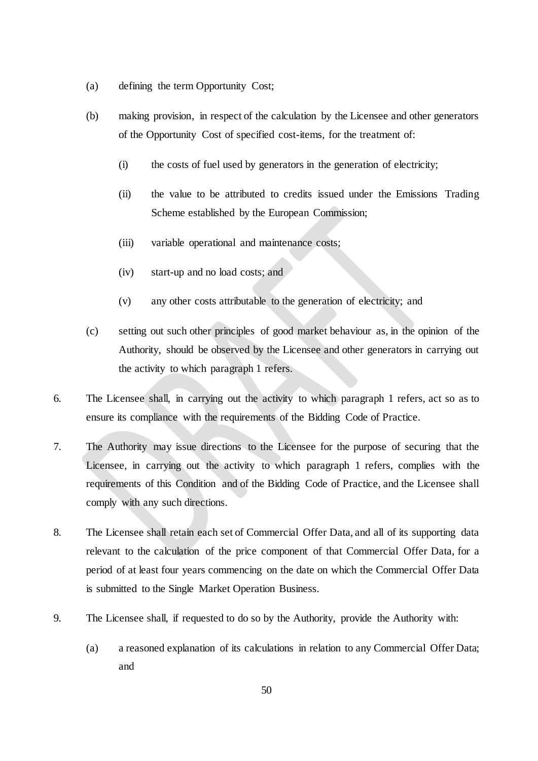- (a) defining the term Opportunity Cost;
- (b) making provision, in respect of the calculation by the Licensee and other generators of the Opportunity Cost of specified cost-items, for the treatment of:
	- (i) the costs of fuel used by generators in the generation of electricity;
	- (ii) the value to be attributed to credits issued under the Emissions Trading Scheme established by the European Commission;
	- (iii) variable operational and maintenance costs;
	- (iv) start-up and no load costs; and
	- (v) any other costs attributable to the generation of electricity; and
- (c) setting out such other principles of good market behaviour as, in the opinion of the Authority, should be observed by the Licensee and other generators in carrying out the activity to which paragraph 1 refers.
- 6. The Licensee shall, in carrying out the activity to which paragraph 1 refers, act so as to ensure its compliance with the requirements of the Bidding Code of Practice.
- 7. The Authority may issue directions to the Licensee for the purpose of securing that the Licensee, in carrying out the activity to which paragraph 1 refers, complies with the requirements of this Condition and of the Bidding Code of Practice, and the Licensee shall comply with any such directions.
- 8. The Licensee shall retain each set of Commercial Offer Data, and all of its supporting data relevant to the calculation of the price component of that Commercial Offer Data, for a period of at least four years commencing on the date on which the Commercial Offer Data is submitted to the Single Market Operation Business.
- 9. The Licensee shall, if requested to do so by the Authority, provide the Authority with:
	- (a) a reasoned explanation of its calculations in relation to any Commercial Offer Data; and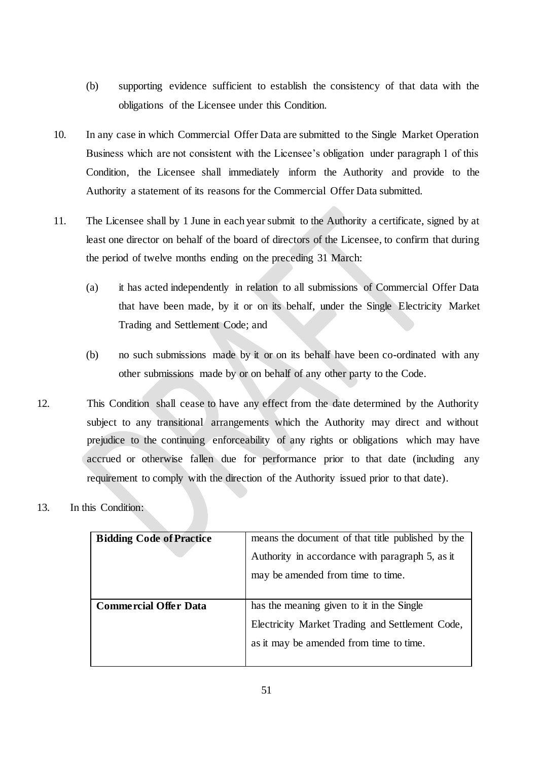- (b) supporting evidence sufficient to establish the consistency of that data with the obligations of the Licensee under this Condition.
- 10. In any case in which Commercial Offer Data are submitted to the Single Market Operation Business which are not consistent with the Licensee's obligation under paragraph 1 of this Condition, the Licensee shall immediately inform the Authority and provide to the Authority a statement of its reasons for the Commercial Offer Data submitted.
- 11. The Licensee shall by 1 June in each year submit to the Authority a certificate, signed by at least one director on behalf of the board of directors of the Licensee, to confirm that during the period of twelve months ending on the preceding 31 March:
	- (a) it has acted independently in relation to all submissions of Commercial Offer Data that have been made, by it or on its behalf, under the Single Electricity Market Trading and Settlement Code; and
	- (b) no such submissions made by it or on its behalf have been co-ordinated with any other submissions made by or on behalf of any other party to the Code.
- 12. This Condition shall cease to have any effect from the date determined by the Authority subject to any transitional arrangements which the Authority may direct and without prejudice to the continuing enforceability of any rights or obligations which may have accrued or otherwise fallen due for performance prior to that date (including any requirement to comply with the direction of the Authority issued prior to that date).
- 13. In this Condition:

| <b>Bidding Code of Practice</b> | means the document of that title published by the |
|---------------------------------|---------------------------------------------------|
|                                 | Authority in accordance with paragraph 5, as it   |
|                                 | may be amended from time to time.                 |
| <b>Commercial Offer Data</b>    | has the meaning given to it in the Single         |
|                                 | Electricity Market Trading and Settlement Code,   |
|                                 | as it may be amended from time to time.           |
|                                 |                                                   |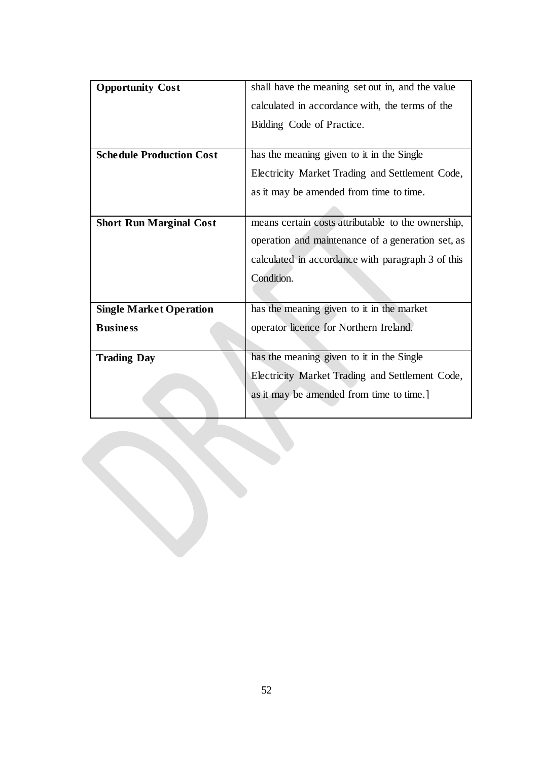| <b>Opportunity Cost</b>         | shall have the meaning set out in, and the value   |  |
|---------------------------------|----------------------------------------------------|--|
|                                 | calculated in accordance with, the terms of the    |  |
|                                 | Bidding Code of Practice.                          |  |
|                                 |                                                    |  |
| <b>Schedule Production Cost</b> | has the meaning given to it in the Single          |  |
|                                 | Electricity Market Trading and Settlement Code,    |  |
|                                 | as it may be amended from time to time.            |  |
|                                 |                                                    |  |
| <b>Short Run Marginal Cost</b>  | means certain costs attributable to the ownership, |  |
|                                 | operation and maintenance of a generation set, as  |  |
|                                 | calculated in accordance with paragraph 3 of this  |  |
|                                 | Condition.                                         |  |
|                                 |                                                    |  |
| <b>Single Market Operation</b>  | has the meaning given to it in the market          |  |
| <b>Business</b>                 | operator licence for Northern Ireland.             |  |
|                                 |                                                    |  |
| <b>Trading Day</b>              | has the meaning given to it in the Single          |  |
|                                 | Electricity Market Trading and Settlement Code,    |  |
|                                 | as it may be amended from time to time.]           |  |
|                                 |                                                    |  |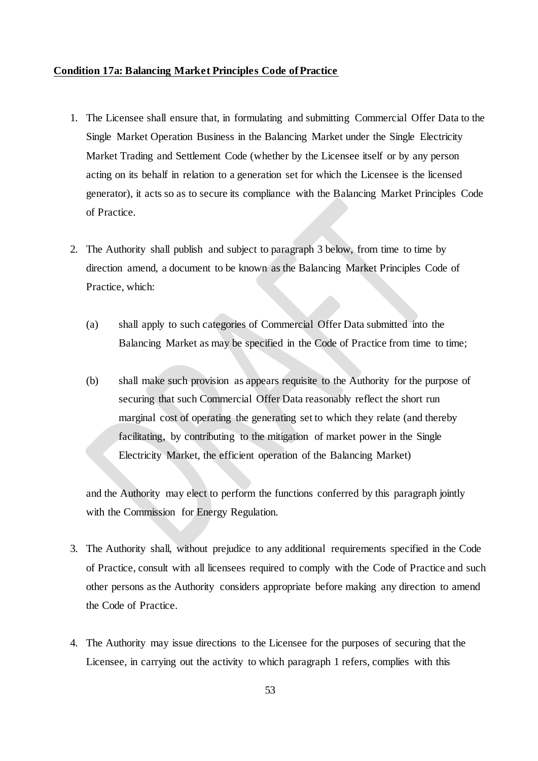#### <span id="page-54-0"></span>**Condition 17a: Balancing Market Principles Code of Practice**

- 1. The Licensee shall ensure that, in formulating and submitting Commercial Offer Data to the Single Market Operation Business in the Balancing Market under the Single Electricity Market Trading and Settlement Code (whether by the Licensee itself or by any person acting on its behalf in relation to a generation set for which the Licensee is the licensed generator), it acts so as to secure its compliance with the Balancing Market Principles Code of Practice.
- 2. The Authority shall publish and subject to paragraph 3 below, from time to time by direction amend, a document to be known as the Balancing Market Principles Code of Practice, which:
	- (a) shall apply to such categories of Commercial Offer Data submitted into the Balancing Market as may be specified in the Code of Practice from time to time;
	- (b) shall make such provision as appears requisite to the Authority for the purpose of securing that such Commercial Offer Data reasonably reflect the short run marginal cost of operating the generating set to which they relate (and thereby facilitating, by contributing to the mitigation of market power in the Single Electricity Market, the efficient operation of the Balancing Market)

and the Authority may elect to perform the functions conferred by this paragraph jointly with the Commission for Energy Regulation.

- 3. The Authority shall, without prejudice to any additional requirements specified in the Code of Practice, consult with all licensees required to comply with the Code of Practice and such other persons as the Authority considers appropriate before making any direction to amend the Code of Practice.
- 4. The Authority may issue directions to the Licensee for the purposes of securing that the Licensee, in carrying out the activity to which paragraph 1 refers, complies with this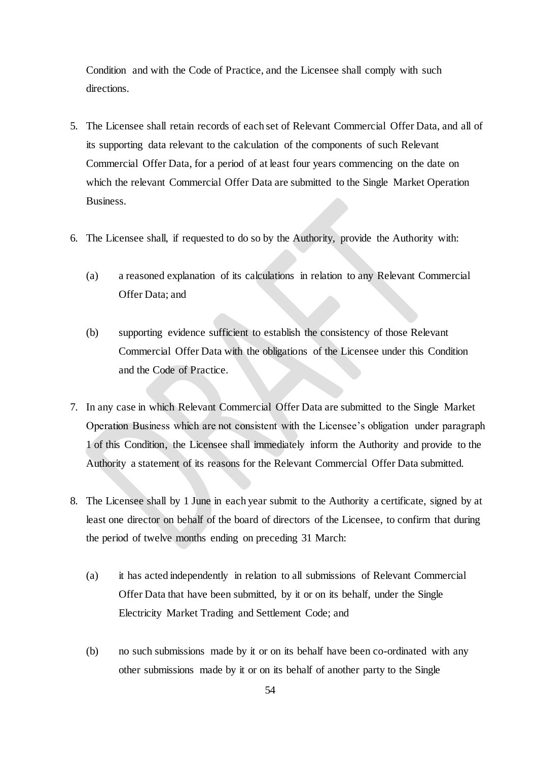Condition and with the Code of Practice, and the Licensee shall comply with such directions.

- 5. The Licensee shall retain records of each set of Relevant Commercial Offer Data, and all of its supporting data relevant to the calculation of the components of such Relevant Commercial Offer Data, for a period of at least four years commencing on the date on which the relevant Commercial Offer Data are submitted to the Single Market Operation Business.
- 6. The Licensee shall, if requested to do so by the Authority, provide the Authority with:
	- (a) a reasoned explanation of its calculations in relation to any Relevant Commercial Offer Data; and
	- (b) supporting evidence sufficient to establish the consistency of those Relevant Commercial Offer Data with the obligations of the Licensee under this Condition and the Code of Practice.
- 7. In any case in which Relevant Commercial Offer Data are submitted to the Single Market Operation Business which are not consistent with the Licensee's obligation under paragraph 1 of this Condition, the Licensee shall immediately inform the Authority and provide to the Authority a statement of its reasons for the Relevant Commercial Offer Data submitted.
- 8. The Licensee shall by 1 June in each year submit to the Authority a certificate, signed by at least one director on behalf of the board of directors of the Licensee, to confirm that during the period of twelve months ending on preceding 31 March:
	- (a) it has acted independently in relation to all submissions of Relevant Commercial Offer Data that have been submitted, by it or on its behalf, under the Single Electricity Market Trading and Settlement Code; and
	- (b) no such submissions made by it or on its behalf have been co-ordinated with any other submissions made by it or on its behalf of another party to the Single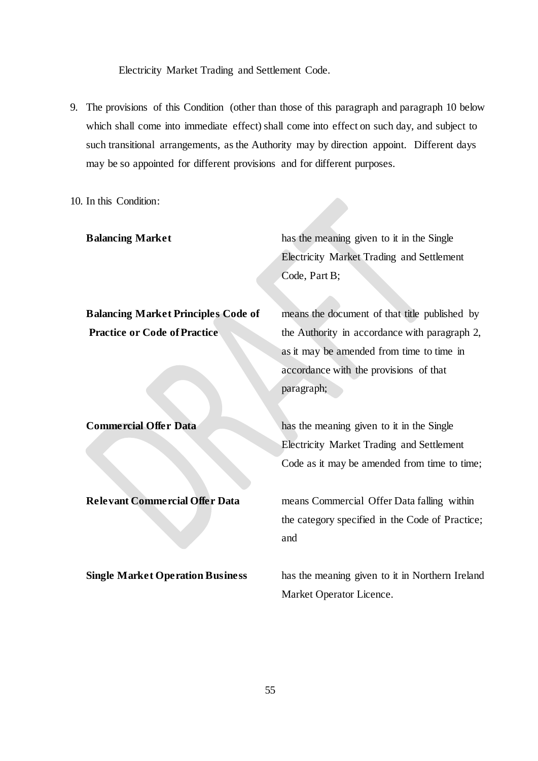Electricity Market Trading and Settlement Code.

9. The provisions of this Condition (other than those of this paragraph and paragraph 10 below which shall come into immediate effect) shall come into effect on such day, and subject to such transitional arrangements, as the Authority may by direction appoint. Different days may be so appointed for different provisions and for different purposes.

10. In this Condition:

**Balancing Market** has the meaning given to it in the Single Electricity Market Trading and Settlement Code, Part B;

**Balancing Market Principles Code of** means the document of that title published by

**Practice or Code of Practice** the Authority in accordance with paragraph 2, as it may be amended from time to time in accordance with the provisions of that paragraph;

**Commercial Offer Data** has the meaning given to it in the Single Electricity Market Trading and Settlement Code as it may be amended from time to time;

**Relevant Commercial Offer Data means Commercial Offer Data falling within** the category specified in the Code of Practice; and

**Single Market Operation Business** has the meaning given to it in Northern Ireland Market Operator Licence.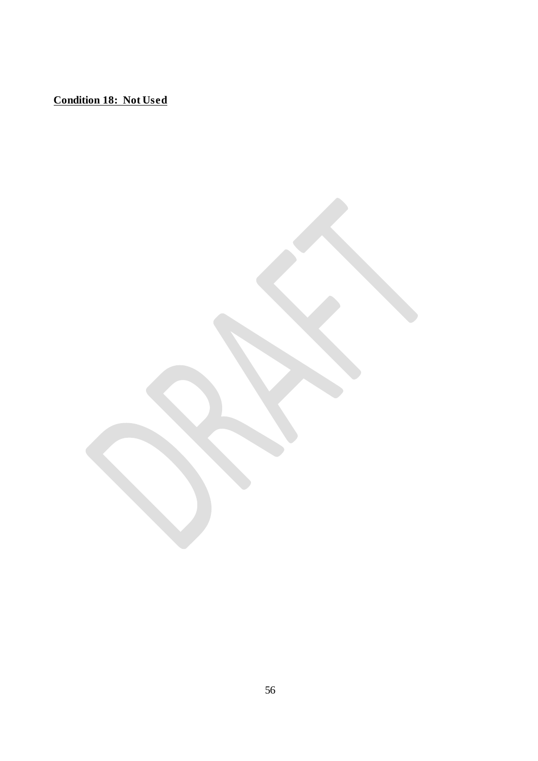**Condition 18: Not Used**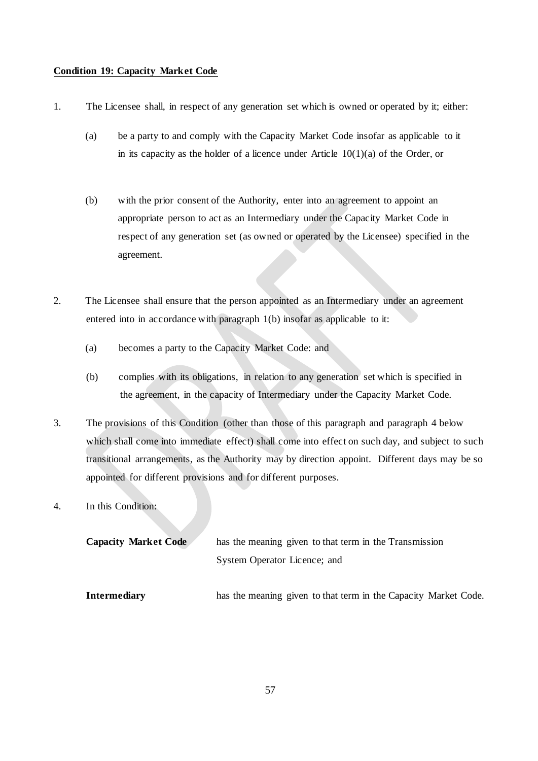#### **Condition 19: Capacity Market Code**

- 1. The Licensee shall, in respect of any generation set which is owned or operated by it; either:
	- (a) be a party to and comply with the Capacity Market Code insofar as applicable to it in its capacity as the holder of a licence under Article  $10(1)(a)$  of the Order, or
	- (b) with the prior consent of the Authority, enter into an agreement to appoint an appropriate person to act as an Intermediary under the Capacity Market Code in respect of any generation set (as owned or operated by the Licensee) specified in the agreement.
- 2. The Licensee shall ensure that the person appointed as an Intermediary under an agreement entered into in accordance with paragraph 1(b) insofar as applicable to it:
	- (a) becomes a party to the Capacity Market Code: and
	- (b) complies with its obligations, in relation to any generation set which is specified in the agreement, in the capacity of Intermediary under the Capacity Market Code.
- 3. The provisions of this Condition (other than those of this paragraph and paragraph 4 below which shall come into immediate effect) shall come into effect on such day, and subject to such transitional arrangements, as the Authority may by direction appoint. Different days may be so appointed for different provisions and for different purposes.
- 4. In this Condition:

| <b>Capacity Market Code</b> | has the meaning given to that term in the Transmission          |
|-----------------------------|-----------------------------------------------------------------|
|                             | System Operator Licence; and                                    |
| <b>Intermediary</b>         | has the meaning given to that term in the Capacity Market Code. |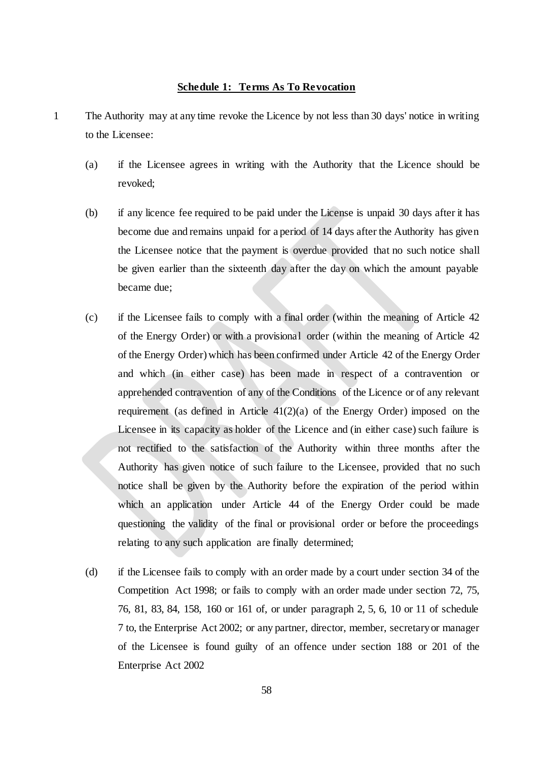#### **Schedule 1: Terms As To Revocation**

- <span id="page-59-0"></span>1 The Authority may at any time revoke the Licence by not less than 30 days' notice in writing to the Licensee:
	- (a) if the Licensee agrees in writing with the Authority that the Licence should be revoked;
	- (b) if any licence fee required to be paid under the License is unpaid 30 days after it has become due and remains unpaid for a period of 14 days after the Authority has given the Licensee notice that the payment is overdue provided that no such notice shall be given earlier than the sixteenth day after the day on which the amount payable became due;
	- (c) if the Licensee fails to comply with a final order (within the meaning of Article 42 of the Energy Order) or with a provisional order (within the meaning of Article 42 of the Energy Order) which has been confirmed under Article 42 of the Energy Order and which (in either case) has been made in respect of a contravention or apprehended contravention of any of the Conditions of the Licence or of any relevant requirement (as defined in Article  $41(2)(a)$  of the Energy Order) imposed on the Licensee in its capacity as holder of the Licence and (in either case) such failure is not rectified to the satisfaction of the Authority within three months after the Authority has given notice of such failure to the Licensee, provided that no such notice shall be given by the Authority before the expiration of the period within which an application under Article 44 of the Energy Order could be made questioning the validity of the final or provisional order or before the proceedings relating to any such application are finally determined;
	- (d) if the Licensee fails to comply with an order made by a court under section 34 of the Competition Act 1998; or fails to comply with an order made under section 72, 75, 76, 81, 83, 84, 158, 160 or 161 of, or under paragraph 2, 5, 6, 10 or 11 of schedule 7 to, the Enterprise Act 2002; or any partner, director, member, secretary or manager of the Licensee is found guilty of an offence under section 188 or 201 of the Enterprise Act 2002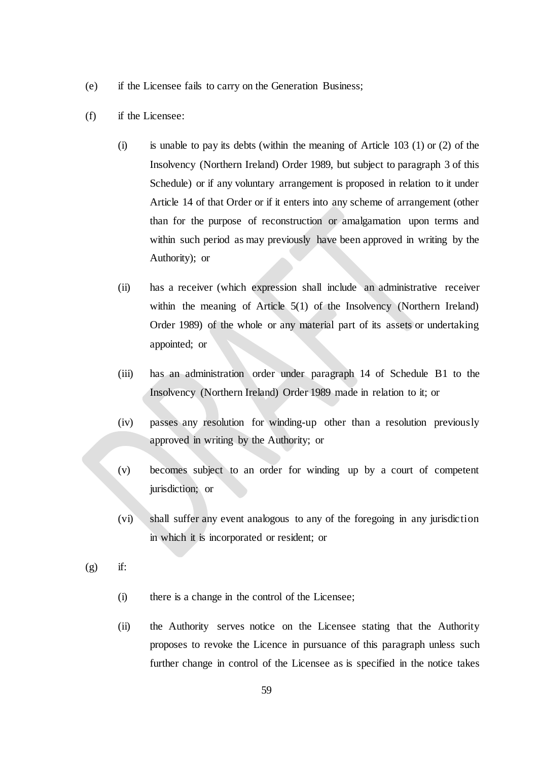- (e) if the Licensee fails to carry on the Generation Business;
- (f) if the Licensee:
	- (i) is unable to pay its debts (within the meaning of Article 103 (1) or (2) of the Insolvency (Northern Ireland) Order 1989, but subject to paragraph 3 of this Schedule) or if any voluntary arrangement is proposed in relation to it under Article 14 of that Order or if it enters into any scheme of arrangement (other than for the purpose of reconstruction or amalgamation upon terms and within such period as may previously have been approved in writing by the Authority); or
	- (ii) has a receiver (which expression shall include an administrative receiver within the meaning of Article 5(1) of the Insolvency (Northern Ireland) Order 1989) of the whole or any material part of its assets or undertaking appointed; or
	- (iii) has an administration order under paragraph 14 of Schedule B1 to the Insolvency (Northern Ireland) Order 1989 made in relation to it; or
	- (iv) passes any resolution for winding-up other than a resolution previously approved in writing by the Authority; or
	- (v) becomes subject to an order for winding up by a court of competent jurisdiction; or
	- (vi) shall suffer any event analogous to any of the foregoing in any jurisdiction in which it is incorporated or resident; or
- $(g)$  if:
	- (i) there is a change in the control of the Licensee;
	- (ii) the Authority serves notice on the Licensee stating that the Authority proposes to revoke the Licence in pursuance of this paragraph unless such further change in control of the Licensee as is specified in the notice takes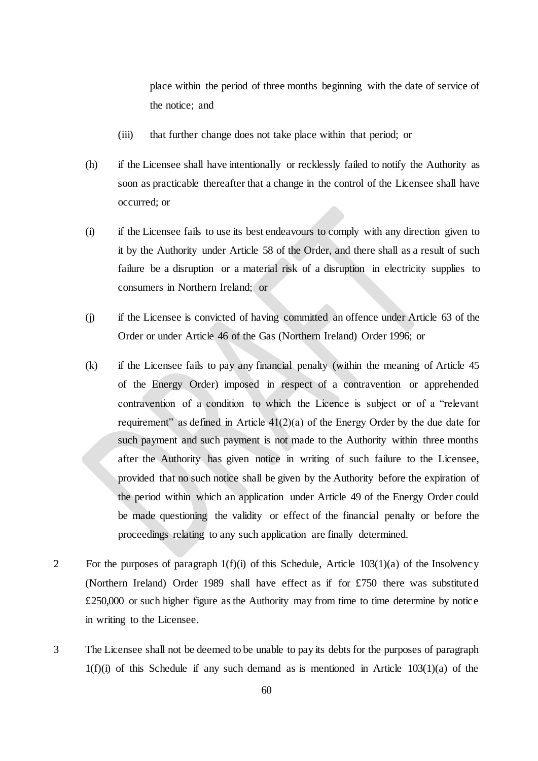place within the period of three months beginning with the date of service of the notice; and

- (iii) that further change does not take place within that period; or
- (h) if the Licensee shall have intentionally or recklessly failed to notify the Authority as soon as practicable thereafter that a change in the control of the Licensee shall have occurred; or
- (i) if the Licensee fails to use its best endeavours to comply with any direction given to it by the Authority under Article 58 of the Order, and there shall as a result of such failure be a disruption or a material risk of a disruption in electricity supplies to consumers in Northern Ireland; or
- (j) if the Licensee is convicted of having committed an offence under Article 63 of the Order or under Article 46 of the Gas (Northern Ireland) Order 1996; or
- (k) if the Licensee fails to pay any financial penalty (within the meaning of Article 45 of the Energy Order) imposed in respect of a contravention or apprehended contravention of a condition to which the Licence is subject or of a "relevant requirement" as defined in Article  $41(2)(a)$  of the Energy Order by the due date for such payment and such payment is not made to the Authority within three months after the Authority has given notice in writing of such failure to the Licensee, provided that no such notice shall be given by the Authority before the expiration of the period within which an application under Article 49 of the Energy Order could be made questioning the validity or effect of the financial penalty or before the proceedings relating to any such application are finally determined.
- 2 For the purposes of paragraph  $1(f)(i)$  of this Schedule, Article  $103(1)(a)$  of the Insolvency (Northern Ireland) Order 1989 shall have effect as if for £750 there was substituted £250,000 or such higher figure as the Authority may from time to time determine by notice in writing to the Licensee.
- 3 The Licensee shall not be deemed to be unable to pay its debts for the purposes of paragraph  $1(f)(i)$  of this Schedule if any such demand as is mentioned in Article  $103(1)(a)$  of the